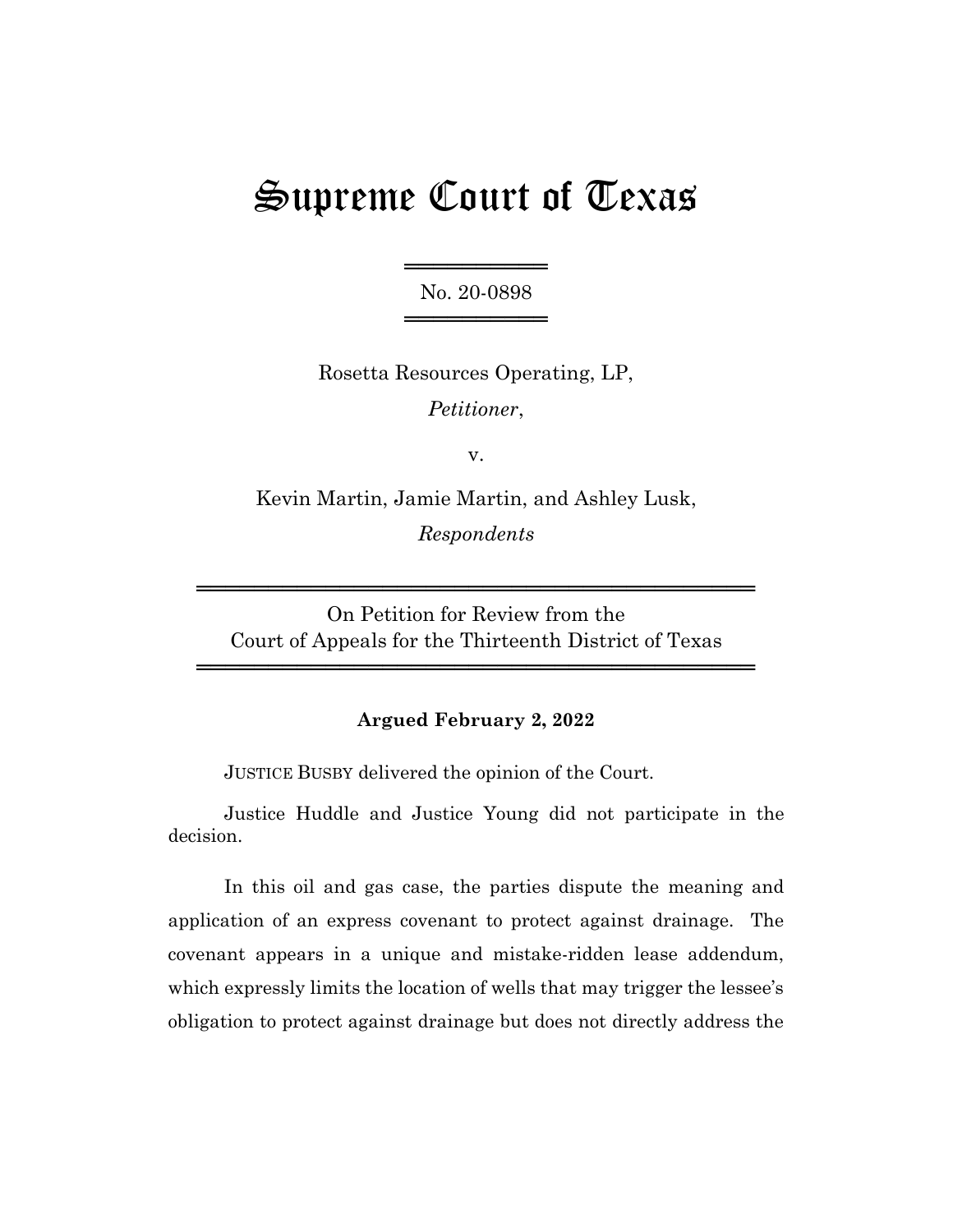# Supreme Court of Texas

═════════════════ No. 20-0898 ═════════════════

Rosetta Resources Operating, LP, *Petitioner*,

v.

Kevin Martin, Jamie Martin, and Ashley Lusk, *Respondents*

On Petition for Review from the Court of Appeals for the Thirteenth District of Texas

═══════════════════════════════════════

═══════════════════════════════════════

## **Argued February 2, 2022**

JUSTICE BUSBY delivered the opinion of the Court.

Justice Huddle and Justice Young did not participate in the decision.

In this oil and gas case, the parties dispute the meaning and application of an express covenant to protect against drainage. The covenant appears in a unique and mistake-ridden lease addendum, which expressly limits the location of wells that may trigger the lessee's obligation to protect against drainage but does not directly address the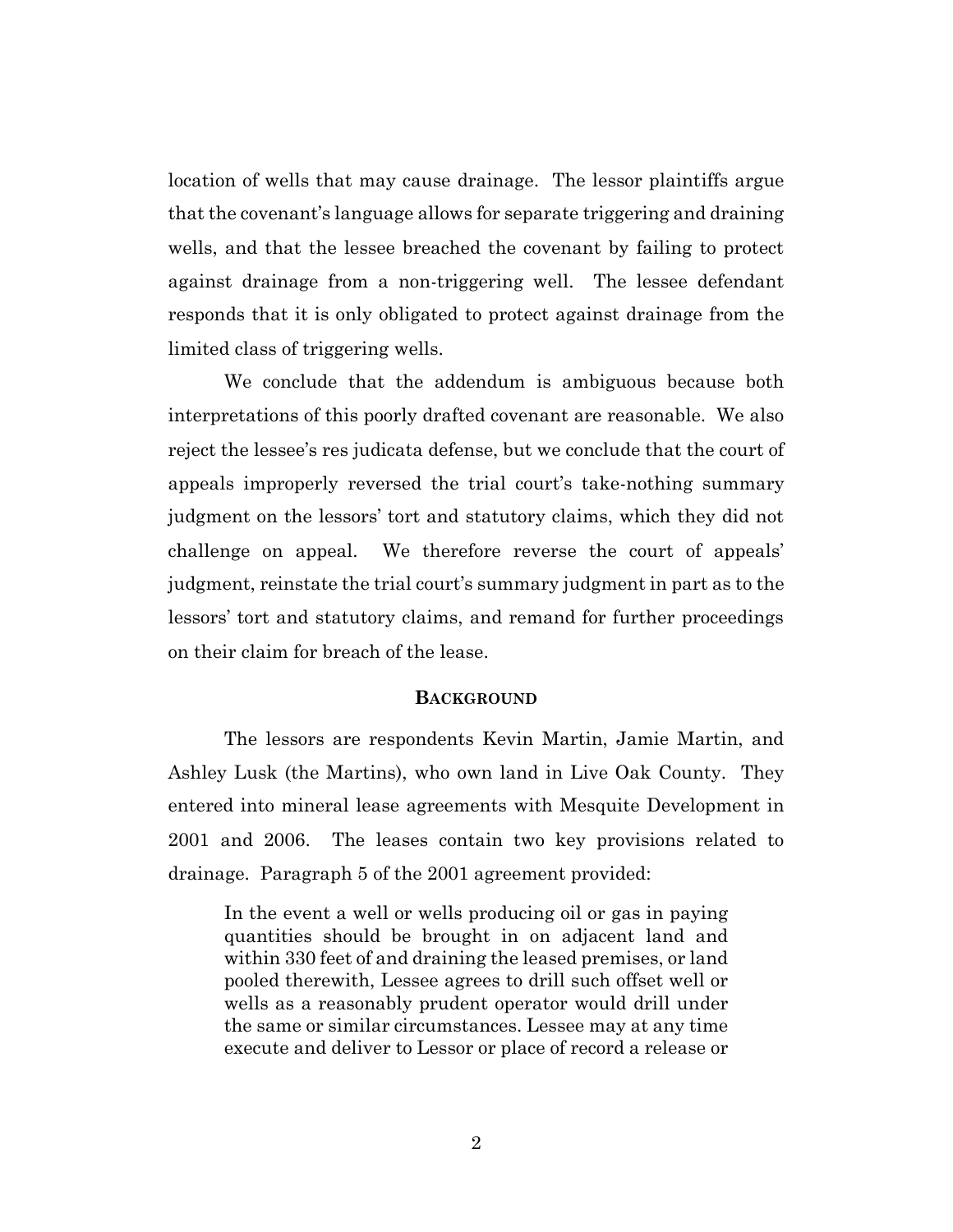location of wells that may cause drainage. The lessor plaintiffs argue that the covenant's language allows for separate triggering and draining wells, and that the lessee breached the covenant by failing to protect against drainage from a non-triggering well. The lessee defendant responds that it is only obligated to protect against drainage from the limited class of triggering wells.

We conclude that the addendum is ambiguous because both interpretations of this poorly drafted covenant are reasonable. We also reject the lessee's res judicata defense, but we conclude that the court of appeals improperly reversed the trial court's take-nothing summary judgment on the lessors' tort and statutory claims, which they did not challenge on appeal. We therefore reverse the court of appeals' judgment, reinstate the trial court's summary judgment in part as to the lessors' tort and statutory claims, and remand for further proceedings on their claim for breach of the lease.

#### **BACKGROUND**

The lessors are respondents Kevin Martin, Jamie Martin, and Ashley Lusk (the Martins), who own land in Live Oak County. They entered into mineral lease agreements with Mesquite Development in 2001 and 2006. The leases contain two key provisions related to drainage. Paragraph 5 of the 2001 agreement provided:

In the event a well or wells producing oil or gas in paying quantities should be brought in on adjacent land and within 330 feet of and draining the leased premises, or land pooled therewith, Lessee agrees to drill such offset well or wells as a reasonably prudent operator would drill under the same or similar circumstances. Lessee may at any time execute and deliver to Lessor or place of record a release or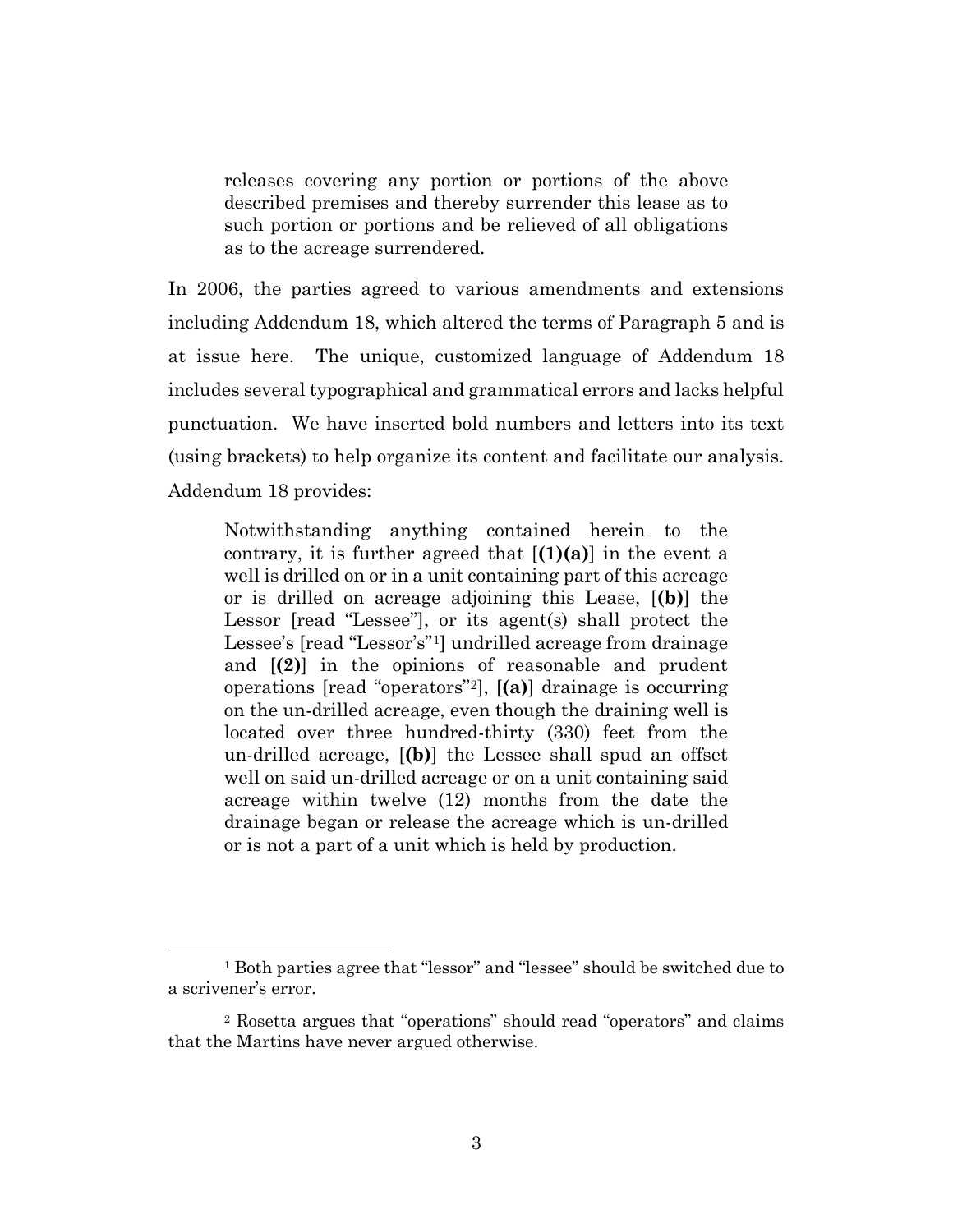releases covering any portion or portions of the above described premises and thereby surrender this lease as to such portion or portions and be relieved of all obligations as to the acreage surrendered.

In 2006, the parties agreed to various amendments and extensions including Addendum 18, which altered the terms of Paragraph 5 and is at issue here. The unique, customized language of Addendum 18 includes several typographical and grammatical errors and lacks helpful punctuation. We have inserted bold numbers and letters into its text (using brackets) to help organize its content and facilitate our analysis. Addendum 18 provides:

Notwithstanding anything contained herein to the contrary, it is further agreed that [**(1)(a)**] in the event a well is drilled on or in a unit containing part of this acreage or is drilled on acreage adjoining this Lease, [**(b)**] the Lessor [read "Lessee"], or its agent(s) shall protect the Lessee's [read "Lessor's"1] undrilled acreage from drainage and [**(2)**] in the opinions of reasonable and prudent operations [read "operators"2], [**(a)**] drainage is occurring on the un-drilled acreage, even though the draining well is located over three hundred-thirty (330) feet from the un-drilled acreage, [**(b)**] the Lessee shall spud an offset well on said un-drilled acreage or on a unit containing said acreage within twelve (12) months from the date the drainage began or release the acreage which is un-drilled or is not a part of a unit which is held by production.

<sup>1</sup> Both parties agree that "lessor" and "lessee" should be switched due to a scrivener's error.

<sup>2</sup> Rosetta argues that "operations" should read "operators" and claims that the Martins have never argued otherwise.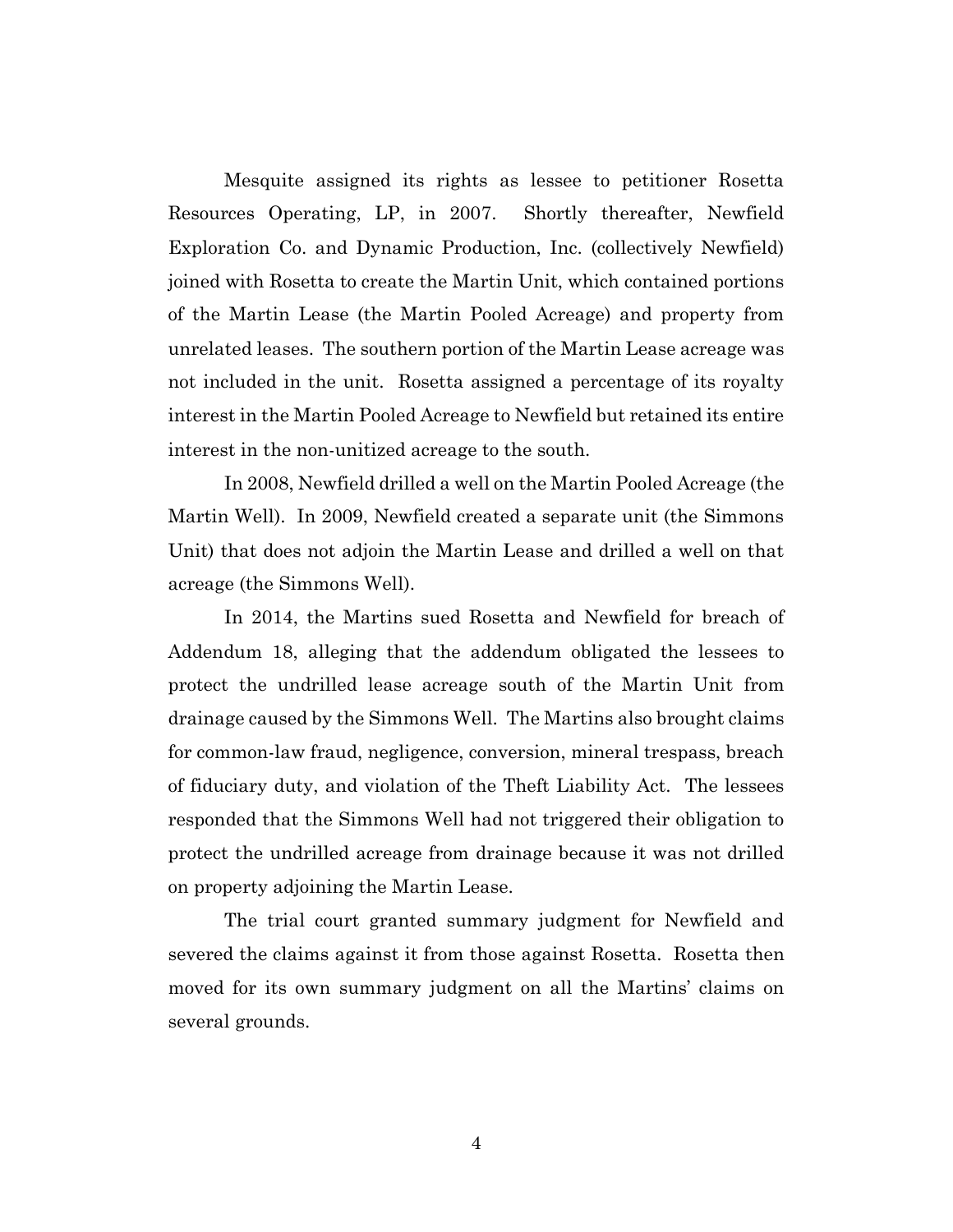Mesquite assigned its rights as lessee to petitioner Rosetta Resources Operating, LP, in 2007. Shortly thereafter, Newfield Exploration Co. and Dynamic Production, Inc. (collectively Newfield) joined with Rosetta to create the Martin Unit, which contained portions of the Martin Lease (the Martin Pooled Acreage) and property from unrelated leases. The southern portion of the Martin Lease acreage was not included in the unit. Rosetta assigned a percentage of its royalty interest in the Martin Pooled Acreage to Newfield but retained its entire interest in the non-unitized acreage to the south.

In 2008, Newfield drilled a well on the Martin Pooled Acreage (the Martin Well). In 2009, Newfield created a separate unit (the Simmons Unit) that does not adjoin the Martin Lease and drilled a well on that acreage (the Simmons Well).

In 2014, the Martins sued Rosetta and Newfield for breach of Addendum 18, alleging that the addendum obligated the lessees to protect the undrilled lease acreage south of the Martin Unit from drainage caused by the Simmons Well. The Martins also brought claims for common-law fraud, negligence, conversion, mineral trespass, breach of fiduciary duty, and violation of the Theft Liability Act. The lessees responded that the Simmons Well had not triggered their obligation to protect the undrilled acreage from drainage because it was not drilled on property adjoining the Martin Lease.

The trial court granted summary judgment for Newfield and severed the claims against it from those against Rosetta. Rosetta then moved for its own summary judgment on all the Martins' claims on several grounds.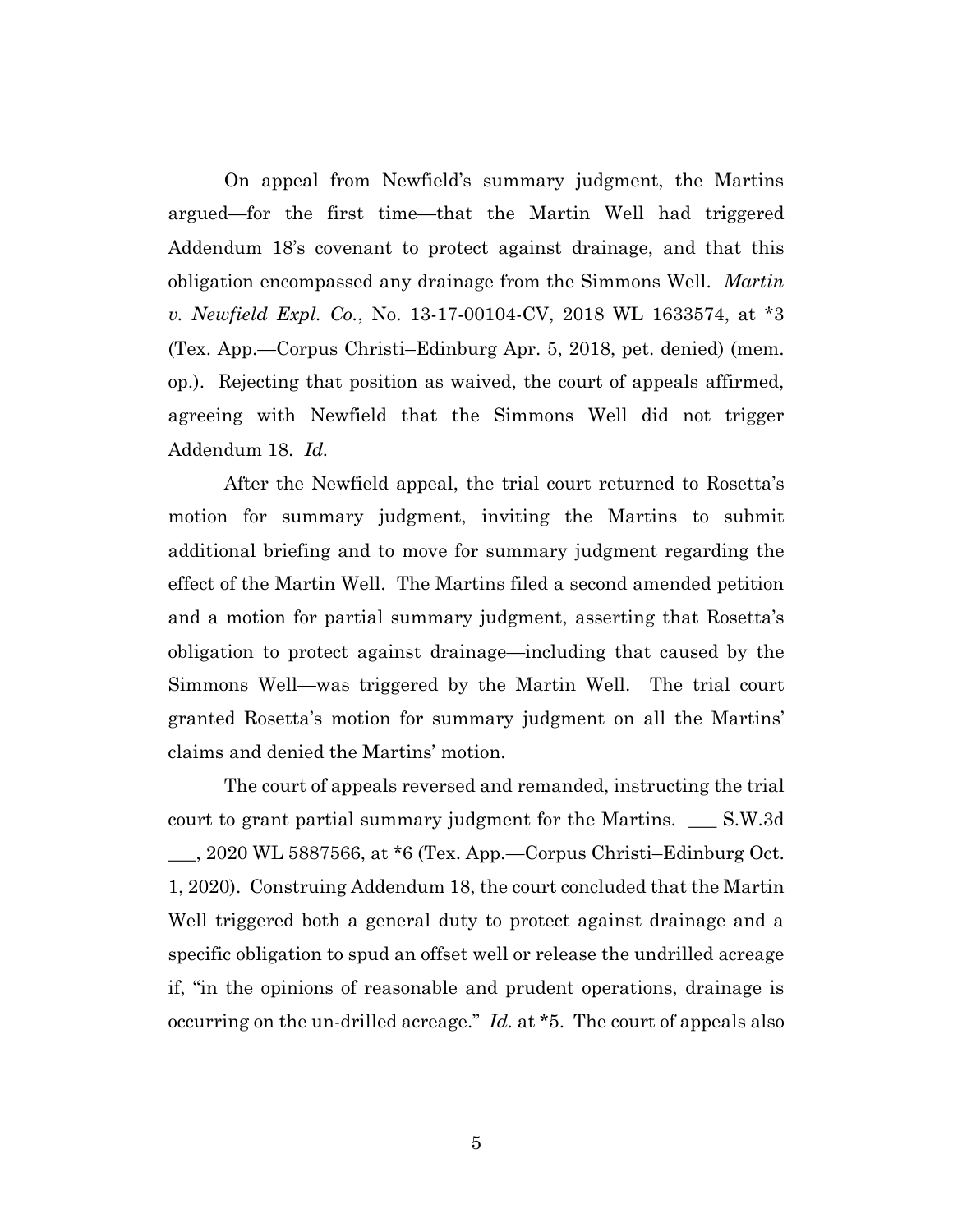On appeal from Newfield's summary judgment, the Martins argued—for the first time—that the Martin Well had triggered Addendum 18's covenant to protect against drainage, and that this obligation encompassed any drainage from the Simmons Well. *Martin v. Newfield Expl. Co.*, No. 13-17-00104-CV, 2018 WL 1633574, at \*3 (Tex. App.—Corpus Christi–Edinburg Apr. 5, 2018, pet. denied) (mem. op.). Rejecting that position as waived, the court of appeals affirmed, agreeing with Newfield that the Simmons Well did not trigger Addendum 18. *Id.*

After the Newfield appeal, the trial court returned to Rosetta's motion for summary judgment, inviting the Martins to submit additional briefing and to move for summary judgment regarding the effect of the Martin Well. The Martins filed a second amended petition and a motion for partial summary judgment, asserting that Rosetta's obligation to protect against drainage—including that caused by the Simmons Well—was triggered by the Martin Well. The trial court granted Rosetta's motion for summary judgment on all the Martins' claims and denied the Martins' motion.

The court of appeals reversed and remanded, instructing the trial court to grant partial summary judgment for the Martins. \_\_\_ S.W.3d \_\_\_, 2020 WL 5887566, at \*6 (Tex. App.—Corpus Christi–Edinburg Oct. 1, 2020). Construing Addendum 18, the court concluded that the Martin Well triggered both a general duty to protect against drainage and a specific obligation to spud an offset well or release the undrilled acreage if, "in the opinions of reasonable and prudent operations, drainage is occurring on the un-drilled acreage." *Id.* at \*5. The court of appeals also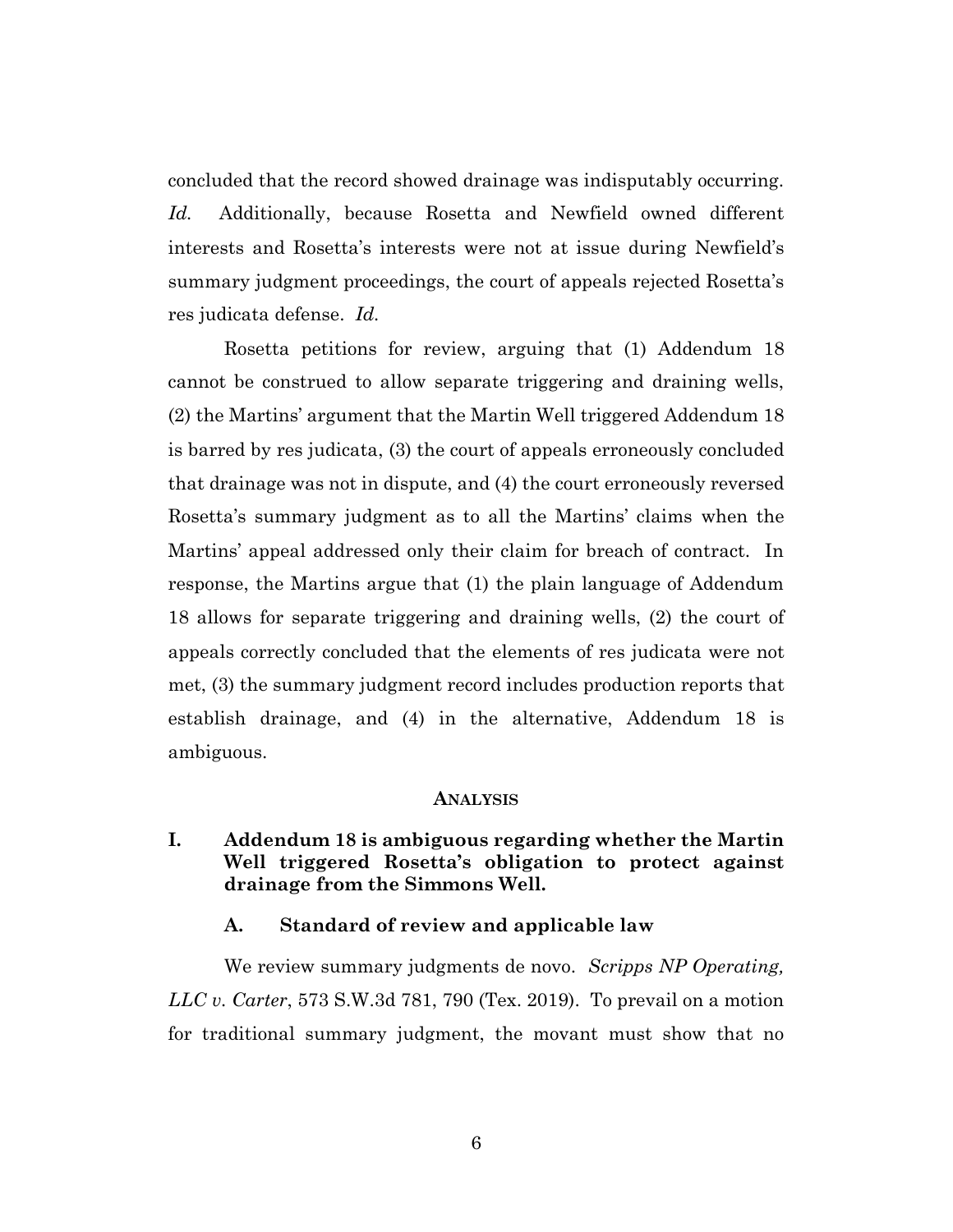concluded that the record showed drainage was indisputably occurring. *Id.* Additionally, because Rosetta and Newfield owned different interests and Rosetta's interests were not at issue during Newfield's summary judgment proceedings, the court of appeals rejected Rosetta's res judicata defense. *Id.*

Rosetta petitions for review, arguing that (1) Addendum 18 cannot be construed to allow separate triggering and draining wells, (2) the Martins' argument that the Martin Well triggered Addendum 18 is barred by res judicata, (3) the court of appeals erroneously concluded that drainage was not in dispute, and (4) the court erroneously reversed Rosetta's summary judgment as to all the Martins' claims when the Martins' appeal addressed only their claim for breach of contract. In response, the Martins argue that (1) the plain language of Addendum 18 allows for separate triggering and draining wells, (2) the court of appeals correctly concluded that the elements of res judicata were not met, (3) the summary judgment record includes production reports that establish drainage, and (4) in the alternative, Addendum 18 is ambiguous.

#### **ANALYSIS**

## **I. Addendum 18 is ambiguous regarding whether the Martin Well triggered Rosetta's obligation to protect against drainage from the Simmons Well.**

#### **A. Standard of review and applicable law**

We review summary judgments de novo. *Scripps NP Operating, LLC v. Carter*, 573 S.W.3d 781, 790 (Tex. 2019). To prevail on a motion for traditional summary judgment, the movant must show that no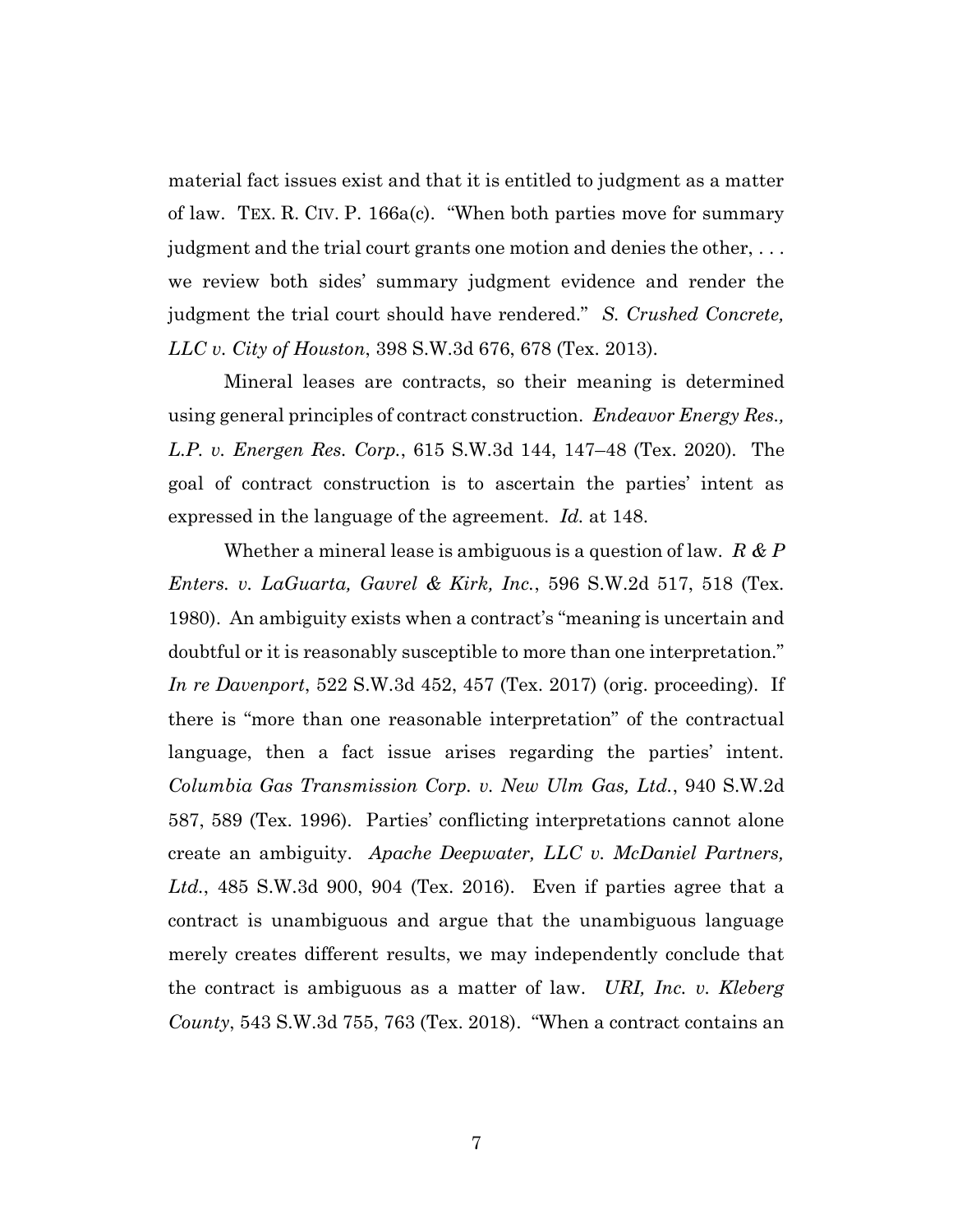material fact issues exist and that it is entitled to judgment as a matter of law. TEX. R. CIV. P. 166a(c). "When both parties move for summary judgment and the trial court grants one motion and denies the other, . . . we review both sides' summary judgment evidence and render the judgment the trial court should have rendered." *S. Crushed Concrete, LLC v. City of Houston*, 398 S.W.3d 676, 678 (Tex. 2013).

Mineral leases are contracts, so their meaning is determined using general principles of contract construction. *Endeavor Energy Res., L.P. v. Energen Res. Corp.*, 615 S.W.3d 144, 147–48 (Tex. 2020). The goal of contract construction is to ascertain the parties' intent as expressed in the language of the agreement. *Id.* at 148.

Whether a mineral lease is ambiguous is a question of law. *R & P Enters. v. LaGuarta, Gavrel & Kirk, Inc.*, 596 S.W.2d 517, 518 (Tex. 1980). An ambiguity exists when a contract's "meaning is uncertain and doubtful or it is reasonably susceptible to more than one interpretation." *In re Davenport*, 522 S.W.3d 452, 457 (Tex. 2017) (orig. proceeding). If there is "more than one reasonable interpretation" of the contractual language, then a fact issue arises regarding the parties' intent. *Columbia Gas Transmission Corp. v. New Ulm Gas, Ltd.*, 940 S.W.2d 587, 589 (Tex. 1996). Parties' conflicting interpretations cannot alone create an ambiguity. *Apache Deepwater, LLC v. McDaniel Partners, Ltd.*, 485 S.W.3d 900, 904 (Tex. 2016). Even if parties agree that a contract is unambiguous and argue that the unambiguous language merely creates different results, we may independently conclude that the contract is ambiguous as a matter of law. *URI, Inc. v. Kleberg County*, 543 S.W.3d 755, 763 (Tex. 2018). "When a contract contains an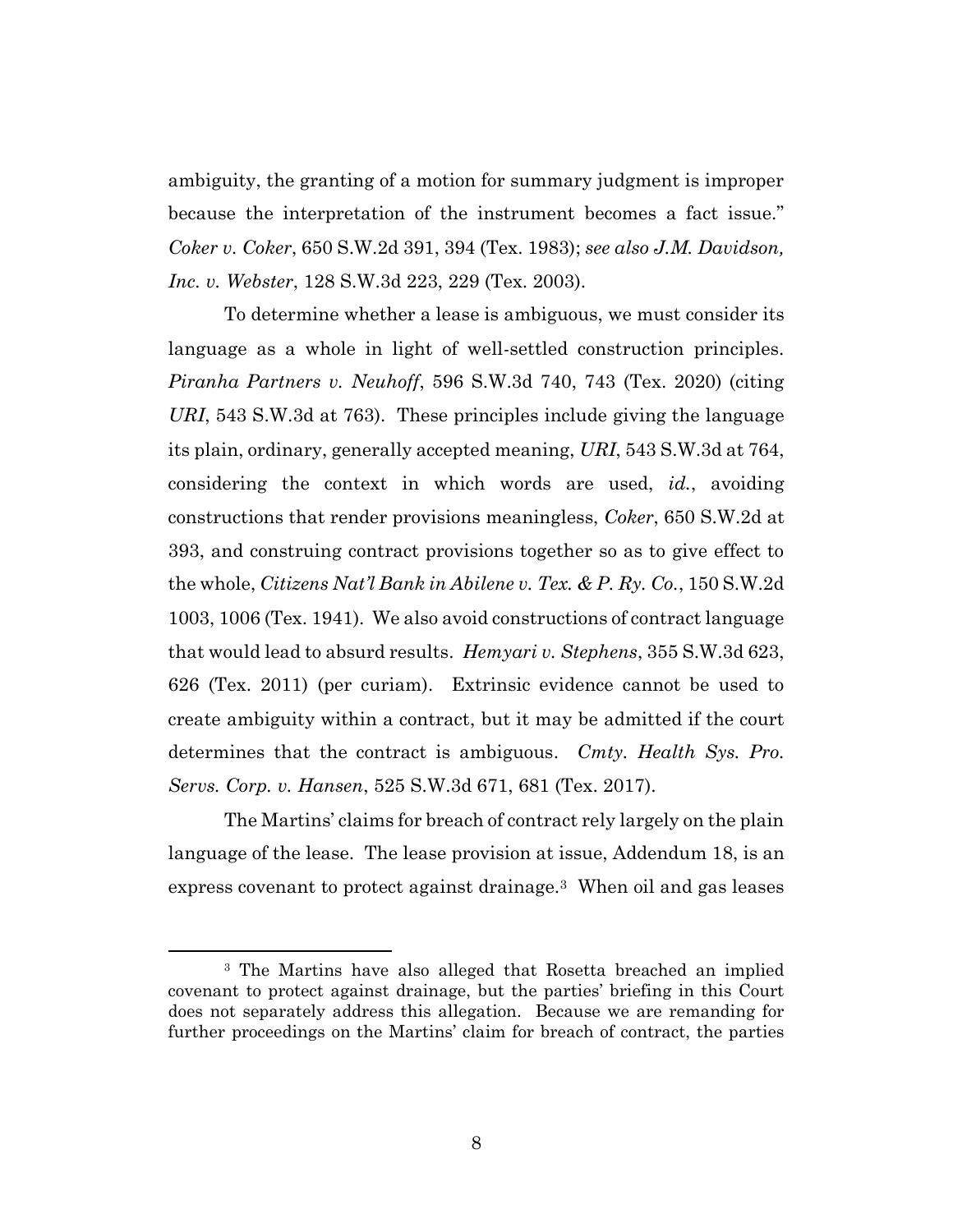ambiguity, the granting of a motion for summary judgment is improper because the interpretation of the instrument becomes a fact issue." *Coker v. Coker*, 650 S.W.2d 391, 394 (Tex. 1983); *see also J.M. Davidson, Inc. v. Webster*, 128 S.W.3d 223, 229 (Tex. 2003).

To determine whether a lease is ambiguous, we must consider its language as a whole in light of well-settled construction principles. *Piranha Partners v. Neuhoff*, 596 S.W.3d 740, 743 (Tex. 2020) (citing *URI*, 543 S.W.3d at 763). These principles include giving the language its plain, ordinary, generally accepted meaning, *URI*, 543 S.W.3d at 764, considering the context in which words are used, *id.*, avoiding constructions that render provisions meaningless, *Coker*, 650 S.W.2d at 393, and construing contract provisions together so as to give effect to the whole, *Citizens Nat'l Bank in Abilene v. Tex. & P. Ry. Co.*, 150 S.W.2d 1003, 1006 (Tex. 1941). We also avoid constructions of contract language that would lead to absurd results. *Hemyari v. Stephens*, 355 S.W.3d 623, 626 (Tex. 2011) (per curiam). Extrinsic evidence cannot be used to create ambiguity within a contract, but it may be admitted if the court determines that the contract is ambiguous. *Cmty. Health Sys. Pro. Servs. Corp. v. Hansen*, 525 S.W.3d 671, 681 (Tex. 2017).

The Martins' claims for breach of contract rely largely on the plain language of the lease. The lease provision at issue, Addendum 18, is an express covenant to protect against drainage.3 When oil and gas leases

<sup>3</sup> The Martins have also alleged that Rosetta breached an implied covenant to protect against drainage, but the parties' briefing in this Court does not separately address this allegation. Because we are remanding for further proceedings on the Martins' claim for breach of contract, the parties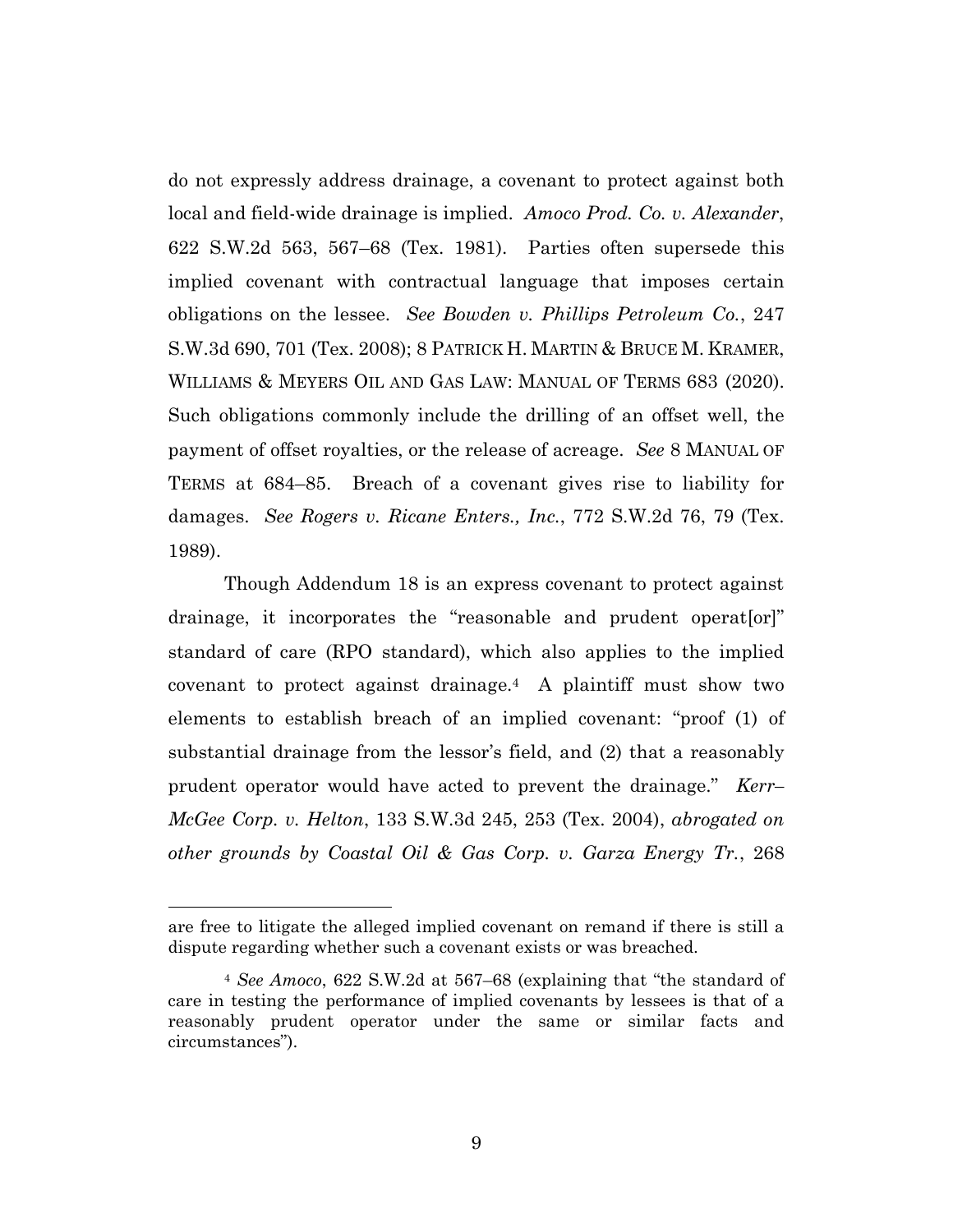do not expressly address drainage, a covenant to protect against both local and field-wide drainage is implied. *Amoco Prod. Co. v. Alexander*, 622 S.W.2d 563, 567–68 (Tex. 1981). Parties often supersede this implied covenant with contractual language that imposes certain obligations on the lessee. *See Bowden v. Phillips Petroleum Co.*, 247 S.W.3d 690, 701 (Tex. 2008); 8 PATRICK H. MARTIN & BRUCE M. KRAMER, WILLIAMS & MEYERS OIL AND GAS LAW: MANUAL OF TERMS 683 (2020). Such obligations commonly include the drilling of an offset well, the payment of offset royalties, or the release of acreage. *See* 8 MANUAL OF TERMS at 684–85. Breach of a covenant gives rise to liability for damages. *See Rogers v. Ricane Enters., Inc.*, 772 S.W.2d 76, 79 (Tex. 1989).

Though Addendum 18 is an express covenant to protect against drainage, it incorporates the "reasonable and prudent operat[or]" standard of care (RPO standard), which also applies to the implied covenant to protect against drainage.<sup>4</sup> A plaintiff must show two elements to establish breach of an implied covenant: "proof (1) of substantial drainage from the lessor's field, and (2) that a reasonably prudent operator would have acted to prevent the drainage." *Kerr– McGee Corp. v. Helton*, 133 S.W.3d 245, 253 (Tex. 2004), *abrogated on other grounds by Coastal Oil & Gas Corp. v. Garza Energy Tr.*, 268

are free to litigate the alleged implied covenant on remand if there is still a dispute regarding whether such a covenant exists or was breached.

<sup>4</sup> *See Amoco*, 622 S.W.2d at 567–68 (explaining that "the standard of care in testing the performance of implied covenants by lessees is that of a reasonably prudent operator under the same or similar facts and circumstances").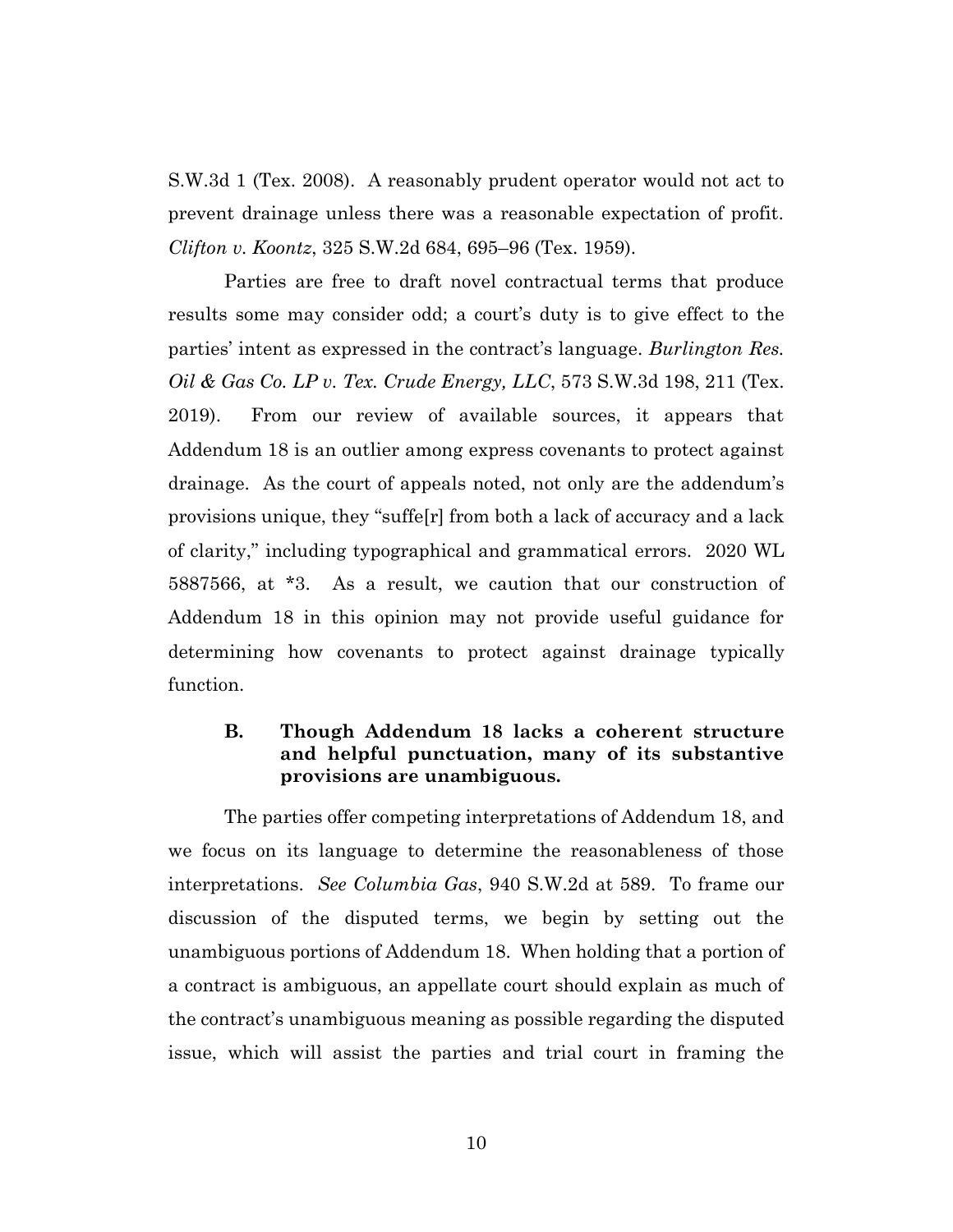S.W.3d 1 (Tex. 2008). A reasonably prudent operator would not act to prevent drainage unless there was a reasonable expectation of profit. *Clifton v. Koontz*, 325 S.W.2d 684, 695–96 (Tex. 1959).

Parties are free to draft novel contractual terms that produce results some may consider odd; a court's duty is to give effect to the parties' intent as expressed in the contract's language. *Burlington Res. Oil & Gas Co. LP v. Tex. Crude Energy, LLC*, 573 S.W.3d 198, 211 (Tex. 2019). From our review of available sources, it appears that Addendum 18 is an outlier among express covenants to protect against drainage. As the court of appeals noted, not only are the addendum's provisions unique, they "suffe[r] from both a lack of accuracy and a lack of clarity," including typographical and grammatical errors. 2020 WL 5887566, at \*3. As a result, we caution that our construction of Addendum 18 in this opinion may not provide useful guidance for determining how covenants to protect against drainage typically function.

# **B. Though Addendum 18 lacks a coherent structure and helpful punctuation, many of its substantive provisions are unambiguous.**

The parties offer competing interpretations of Addendum 18, and we focus on its language to determine the reasonableness of those interpretations. *See Columbia Gas*, 940 S.W.2d at 589. To frame our discussion of the disputed terms, we begin by setting out the unambiguous portions of Addendum 18. When holding that a portion of a contract is ambiguous, an appellate court should explain as much of the contract's unambiguous meaning as possible regarding the disputed issue, which will assist the parties and trial court in framing the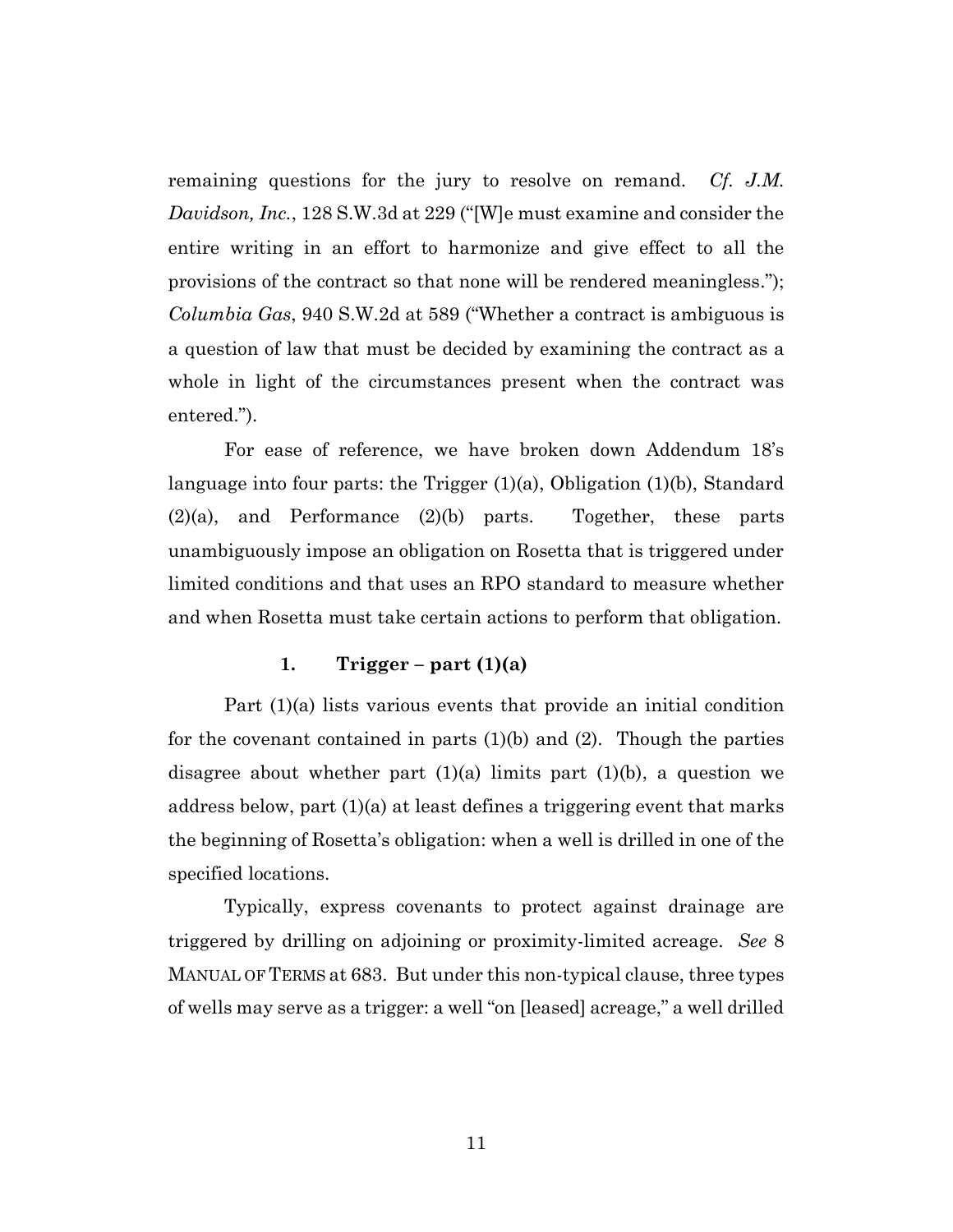remaining questions for the jury to resolve on remand. *Cf. J.M. Davidson, Inc.*, 128 S.W.3d at 229 ("[W]e must examine and consider the entire writing in an effort to harmonize and give effect to all the provisions of the contract so that none will be rendered meaningless."); *Columbia Gas*, 940 S.W.2d at 589 ("Whether a contract is ambiguous is a question of law that must be decided by examining the contract as a whole in light of the circumstances present when the contract was entered.").

For ease of reference, we have broken down Addendum 18's language into four parts: the Trigger (1)(a), Obligation (1)(b), Standard (2)(a), and Performance (2)(b) parts. Together, these parts unambiguously impose an obligation on Rosetta that is triggered under limited conditions and that uses an RPO standard to measure whether and when Rosetta must take certain actions to perform that obligation.

## **1. Trigger – part (1)(a)**

Part (1)(a) lists various events that provide an initial condition for the covenant contained in parts  $(1)(b)$  and  $(2)$ . Though the parties disagree about whether part  $(1)(a)$  limits part  $(1)(b)$ , a question we address below, part  $(1)(a)$  at least defines a triggering event that marks the beginning of Rosetta's obligation: when a well is drilled in one of the specified locations.

Typically, express covenants to protect against drainage are triggered by drilling on adjoining or proximity-limited acreage. *See* 8 MANUAL OF TERMS at 683. But under this non-typical clause, three types of wells may serve as a trigger: a well "on [leased] acreage," a well drilled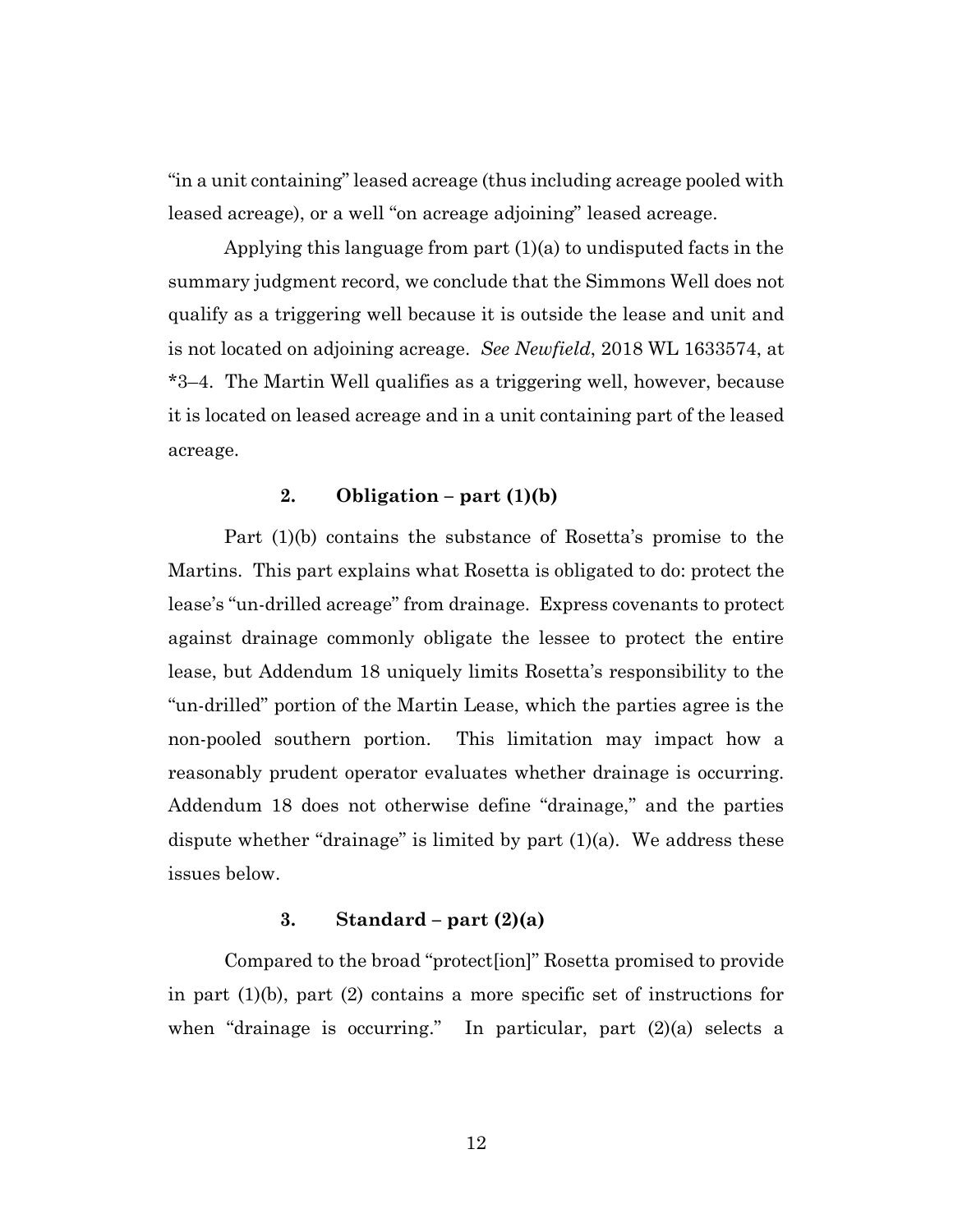"in a unit containing" leased acreage (thus including acreage pooled with leased acreage), or a well "on acreage adjoining" leased acreage.

Applying this language from part (1)(a) to undisputed facts in the summary judgment record, we conclude that the Simmons Well does not qualify as a triggering well because it is outside the lease and unit and is not located on adjoining acreage. *See Newfield*, 2018 WL 1633574, at \*3–4. The Martin Well qualifies as a triggering well, however, because it is located on leased acreage and in a unit containing part of the leased acreage.

## 2. **Obligation** –  $part(1)(b)$

Part (1)(b) contains the substance of Rosetta's promise to the Martins. This part explains what Rosetta is obligated to do: protect the lease's "un-drilled acreage" from drainage. Express covenants to protect against drainage commonly obligate the lessee to protect the entire lease, but Addendum 18 uniquely limits Rosetta's responsibility to the "un-drilled" portion of the Martin Lease, which the parties agree is the non-pooled southern portion. This limitation may impact how a reasonably prudent operator evaluates whether drainage is occurring. Addendum 18 does not otherwise define "drainage," and the parties dispute whether "drainage" is limited by part  $(1)(a)$ . We address these issues below.

## **3. Standard – part (2)(a)**

Compared to the broad "protect[ion]" Rosetta promised to provide in part (1)(b), part (2) contains a more specific set of instructions for when "drainage is occurring." In particular, part  $(2)(a)$  selects a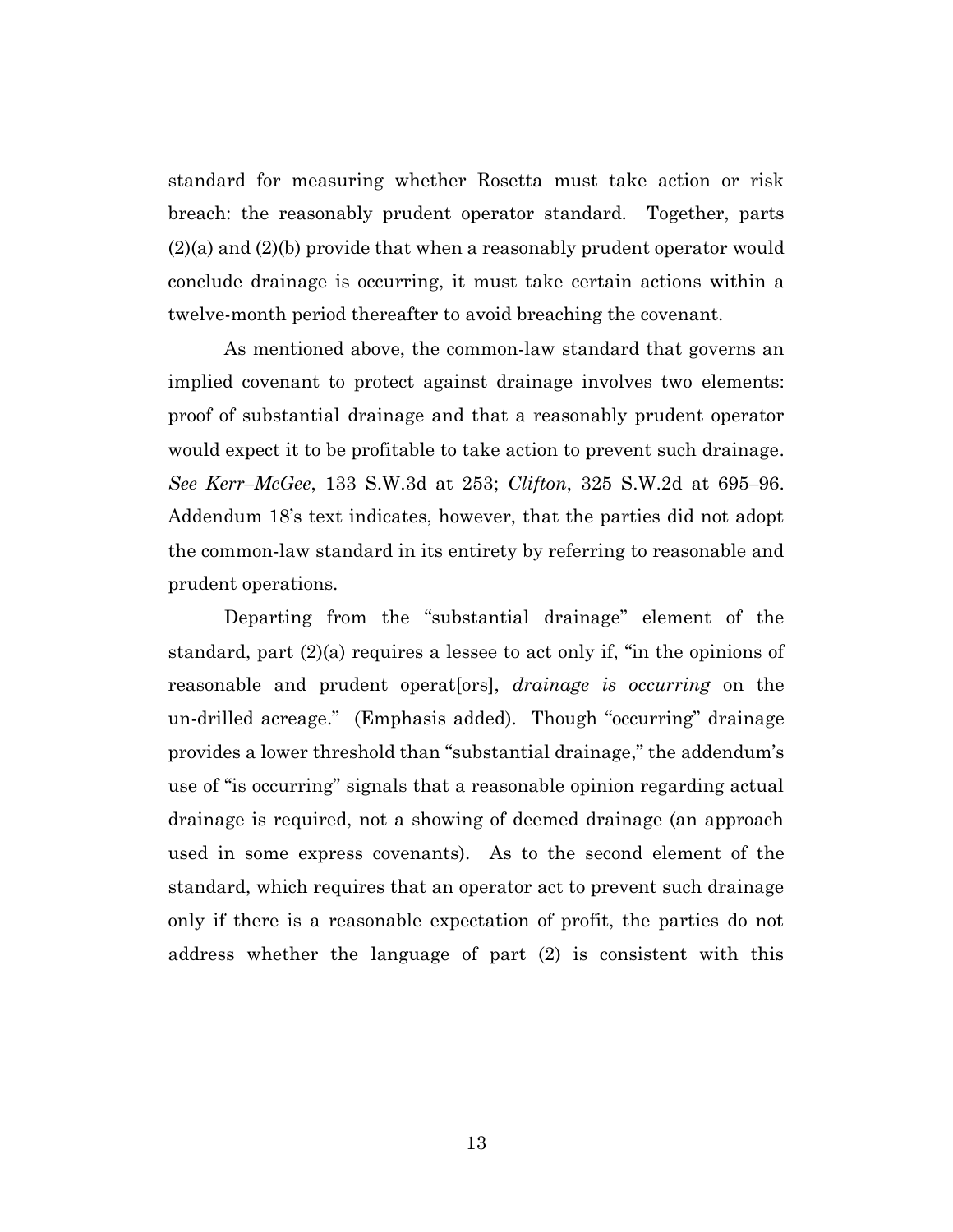standard for measuring whether Rosetta must take action or risk breach: the reasonably prudent operator standard. Together, parts (2)(a) and (2)(b) provide that when a reasonably prudent operator would conclude drainage is occurring, it must take certain actions within a twelve-month period thereafter to avoid breaching the covenant.

As mentioned above, the common-law standard that governs an implied covenant to protect against drainage involves two elements: proof of substantial drainage and that a reasonably prudent operator would expect it to be profitable to take action to prevent such drainage. *See Kerr–McGee*, 133 S.W.3d at 253; *Clifton*, 325 S.W.2d at 695*–*96. Addendum 18's text indicates, however, that the parties did not adopt the common-law standard in its entirety by referring to reasonable and prudent operations.

Departing from the "substantial drainage" element of the standard, part (2)(a) requires a lessee to act only if, "in the opinions of reasonable and prudent operat[ors], *drainage is occurring* on the un-drilled acreage." (Emphasis added). Though "occurring" drainage provides a lower threshold than "substantial drainage," the addendum's use of "is occurring" signals that a reasonable opinion regarding actual drainage is required, not a showing of deemed drainage (an approach used in some express covenants). As to the second element of the standard, which requires that an operator act to prevent such drainage only if there is a reasonable expectation of profit, the parties do not address whether the language of part (2) is consistent with this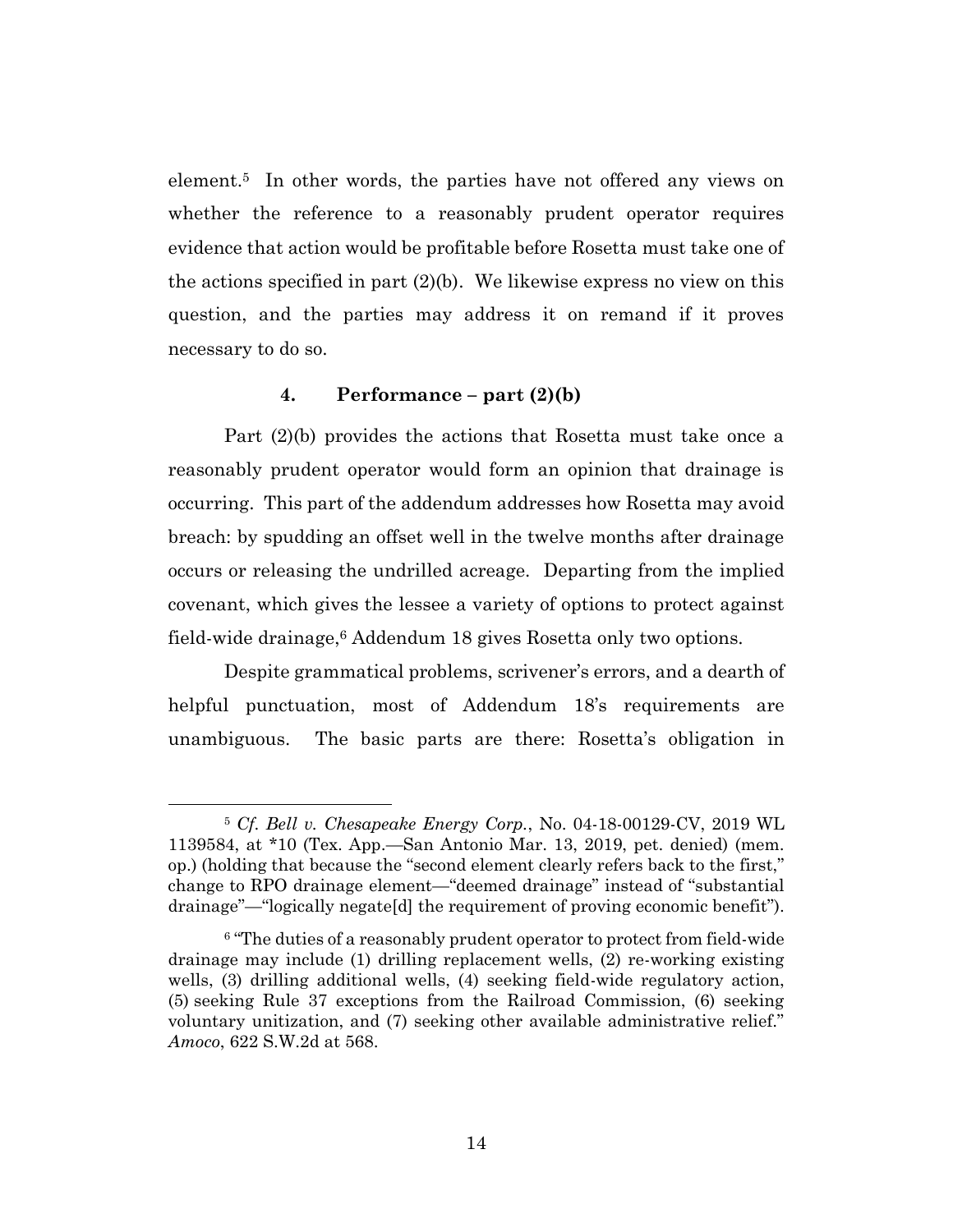element.5 In other words, the parties have not offered any views on whether the reference to a reasonably prudent operator requires evidence that action would be profitable before Rosetta must take one of the actions specified in part  $(2)(b)$ . We likewise express no view on this question, and the parties may address it on remand if it proves necessary to do so.

## **4. Performance – part (2)(b)**

Part (2)(b) provides the actions that Rosetta must take once a reasonably prudent operator would form an opinion that drainage is occurring. This part of the addendum addresses how Rosetta may avoid breach: by spudding an offset well in the twelve months after drainage occurs or releasing the undrilled acreage. Departing from the implied covenant, which gives the lessee a variety of options to protect against field-wide drainage, <sup>6</sup> Addendum 18 gives Rosetta only two options.

Despite grammatical problems, scrivener's errors, and a dearth of helpful punctuation, most of Addendum 18's requirements are unambiguous. The basic parts are there: Rosetta's obligation in

<sup>5</sup> *Cf. Bell v. Chesapeake Energy Corp.*, No. 04-18-00129-CV, 2019 WL 1139584, at \*10 (Tex. App.—San Antonio Mar. 13, 2019, pet. denied) (mem. op.) (holding that because the "second element clearly refers back to the first," change to RPO drainage element—"deemed drainage" instead of "substantial drainage"—"logically negate[d] the requirement of proving economic benefit").

<sup>6</sup> "The duties of a reasonably prudent operator to protect from field-wide drainage may include (1) drilling replacement wells, (2) re-working existing wells, (3) drilling additional wells, (4) seeking field-wide regulatory action, (5) seeking Rule 37 exceptions from the Railroad Commission, (6) seeking voluntary unitization, and (7) seeking other available administrative relief." *Amoco*, 622 S.W.2d at 568.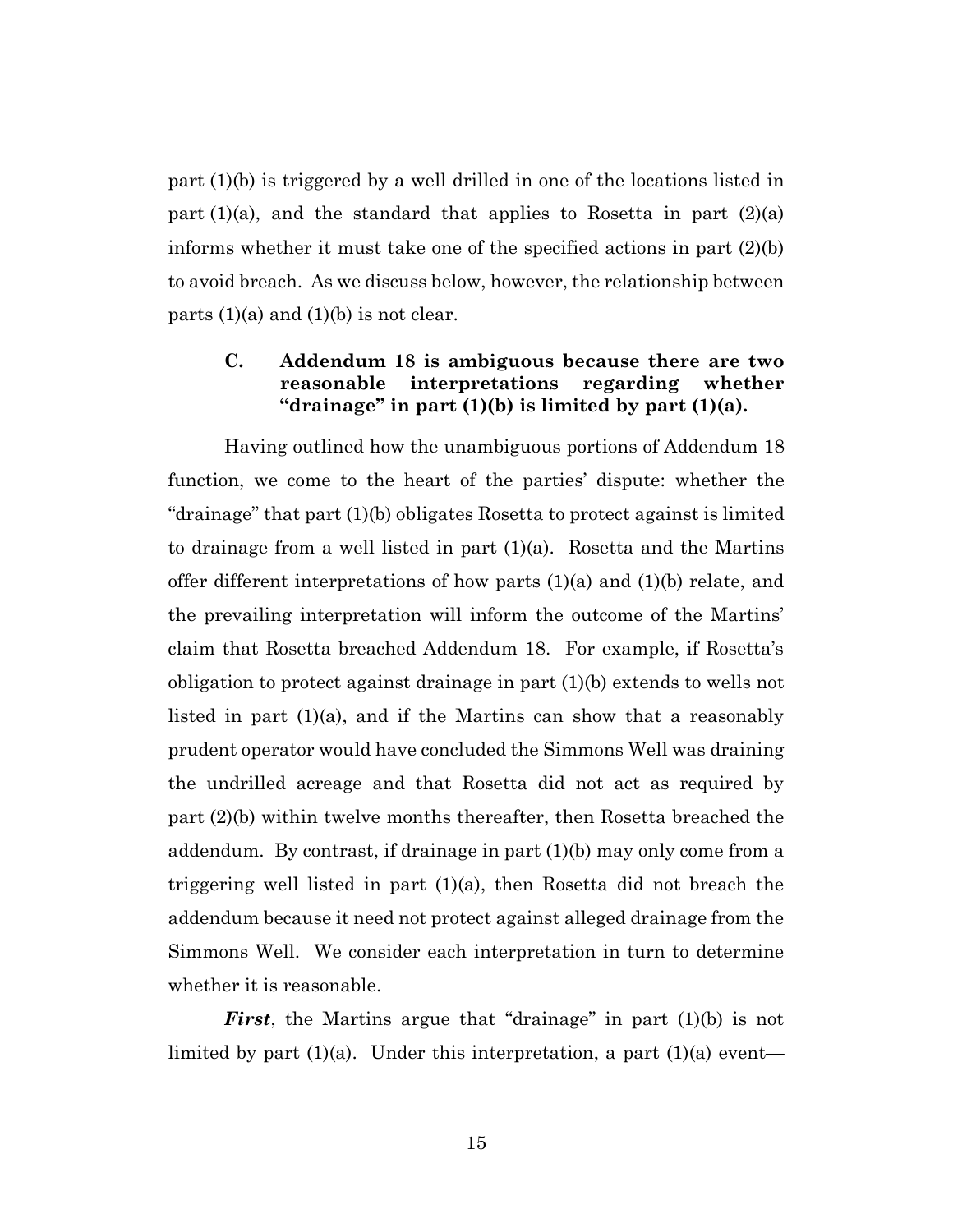part (1)(b) is triggered by a well drilled in one of the locations listed in part  $(1)(a)$ , and the standard that applies to Rosetta in part  $(2)(a)$ informs whether it must take one of the specified actions in part (2)(b) to avoid breach. As we discuss below, however, the relationship between parts  $(1)(a)$  and  $(1)(b)$  is not clear.

# **C. Addendum 18 is ambiguous because there are two reasonable interpretations regarding whether "drainage" in part (1)(b) is limited by part (1)(a).**

Having outlined how the unambiguous portions of Addendum 18 function, we come to the heart of the parties' dispute: whether the "drainage" that part (1)(b) obligates Rosetta to protect against is limited to drainage from a well listed in part  $(1)(a)$ . Rosetta and the Martins offer different interpretations of how parts (1)(a) and (1)(b) relate, and the prevailing interpretation will inform the outcome of the Martins' claim that Rosetta breached Addendum 18. For example, if Rosetta's obligation to protect against drainage in part (1)(b) extends to wells not listed in part (1)(a), and if the Martins can show that a reasonably prudent operator would have concluded the Simmons Well was draining the undrilled acreage and that Rosetta did not act as required by part (2)(b) within twelve months thereafter, then Rosetta breached the addendum. By contrast, if drainage in part (1)(b) may only come from a triggering well listed in part  $(1)(a)$ , then Rosetta did not breach the addendum because it need not protect against alleged drainage from the Simmons Well. We consider each interpretation in turn to determine whether it is reasonable.

*First*, the Martins argue that "drainage" in part (1)(b) is not limited by part  $(1)(a)$ . Under this interpretation, a part  $(1)(a)$  event—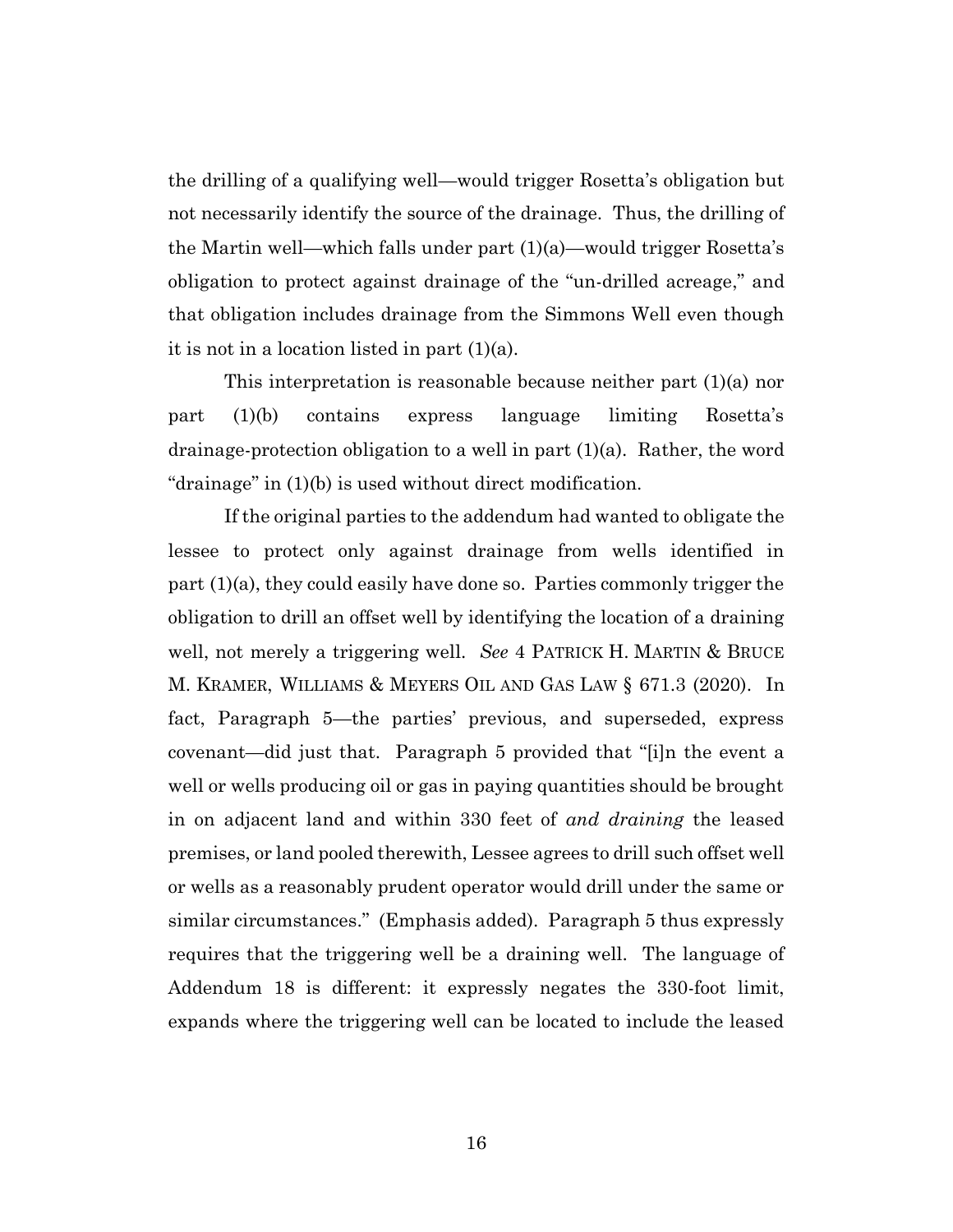the drilling of a qualifying well—would trigger Rosetta's obligation but not necessarily identify the source of the drainage. Thus, the drilling of the Martin well—which falls under part (1)(a)—would trigger Rosetta's obligation to protect against drainage of the "un-drilled acreage," and that obligation includes drainage from the Simmons Well even though it is not in a location listed in part  $(1)(a)$ .

This interpretation is reasonable because neither part (1)(a) nor part (1)(b) contains express language limiting Rosetta's drainage-protection obligation to a well in part (1)(a). Rather, the word "drainage" in (1)(b) is used without direct modification.

If the original parties to the addendum had wanted to obligate the lessee to protect only against drainage from wells identified in part  $(1)(a)$ , they could easily have done so. Parties commonly trigger the obligation to drill an offset well by identifying the location of a draining well, not merely a triggering well. *See* 4 PATRICK H. MARTIN & BRUCE M. KRAMER, WILLIAMS & MEYERS OIL AND GAS LAW § 671.3 (2020). In fact, Paragraph 5—the parties' previous, and superseded, express covenant—did just that. Paragraph 5 provided that "[i]n the event a well or wells producing oil or gas in paying quantities should be brought in on adjacent land and within 330 feet of *and draining* the leased premises, or land pooled therewith, Lessee agrees to drill such offset well or wells as a reasonably prudent operator would drill under the same or similar circumstances." (Emphasis added). Paragraph 5 thus expressly requires that the triggering well be a draining well. The language of Addendum 18 is different: it expressly negates the 330-foot limit, expands where the triggering well can be located to include the leased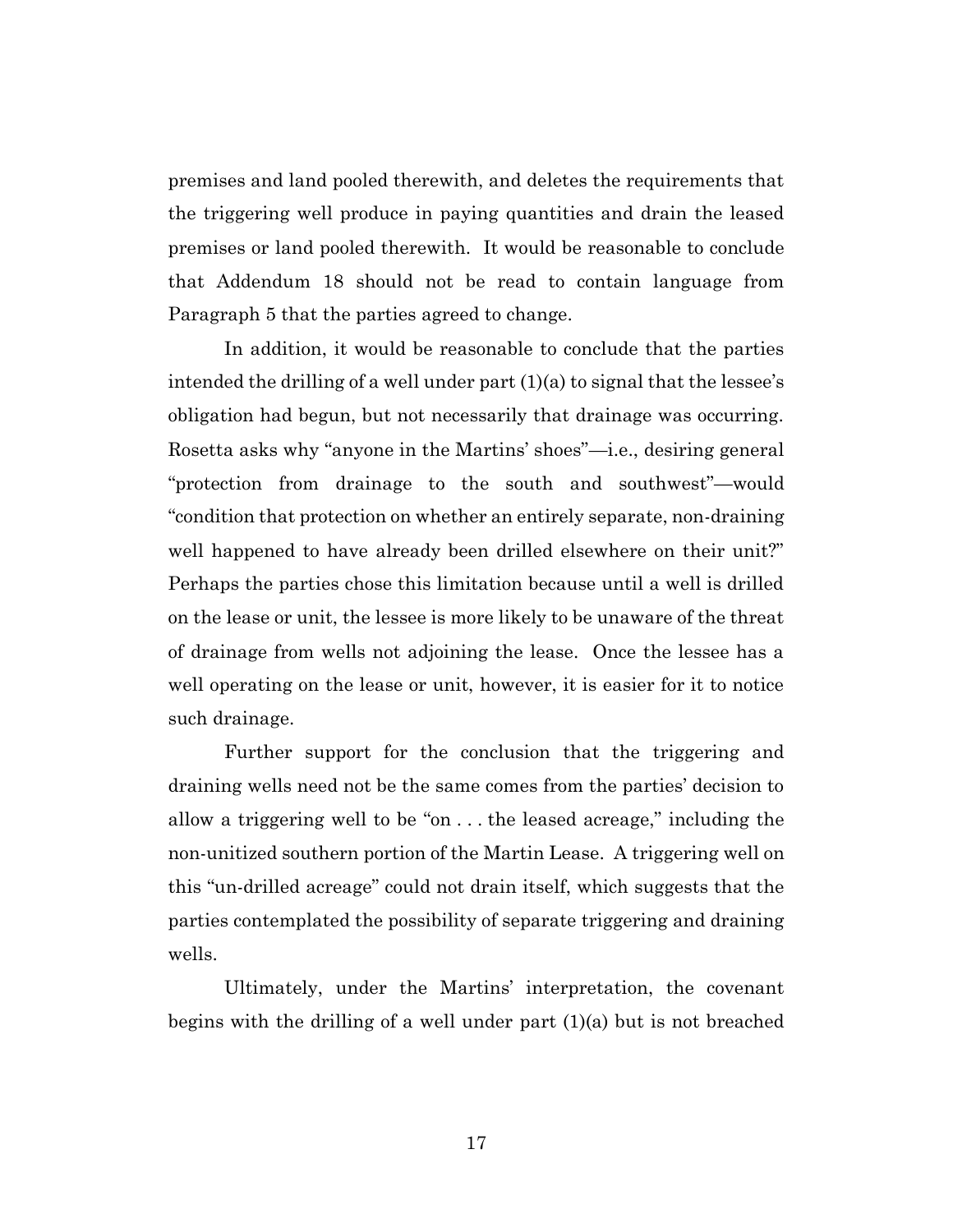premises and land pooled therewith, and deletes the requirements that the triggering well produce in paying quantities and drain the leased premises or land pooled therewith. It would be reasonable to conclude that Addendum 18 should not be read to contain language from Paragraph 5 that the parties agreed to change.

In addition, it would be reasonable to conclude that the parties intended the drilling of a well under part  $(1)(a)$  to signal that the lessee's obligation had begun, but not necessarily that drainage was occurring. Rosetta asks why "anyone in the Martins' shoes"—i.e., desiring general "protection from drainage to the south and southwest"—would "condition that protection on whether an entirely separate, non-draining well happened to have already been drilled elsewhere on their unit?" Perhaps the parties chose this limitation because until a well is drilled on the lease or unit, the lessee is more likely to be unaware of the threat of drainage from wells not adjoining the lease. Once the lessee has a well operating on the lease or unit, however, it is easier for it to notice such drainage.

Further support for the conclusion that the triggering and draining wells need not be the same comes from the parties' decision to allow a triggering well to be "on . . . the leased acreage," including the non-unitized southern portion of the Martin Lease. A triggering well on this "un-drilled acreage" could not drain itself, which suggests that the parties contemplated the possibility of separate triggering and draining wells.

Ultimately, under the Martins' interpretation, the covenant begins with the drilling of a well under part (1)(a) but is not breached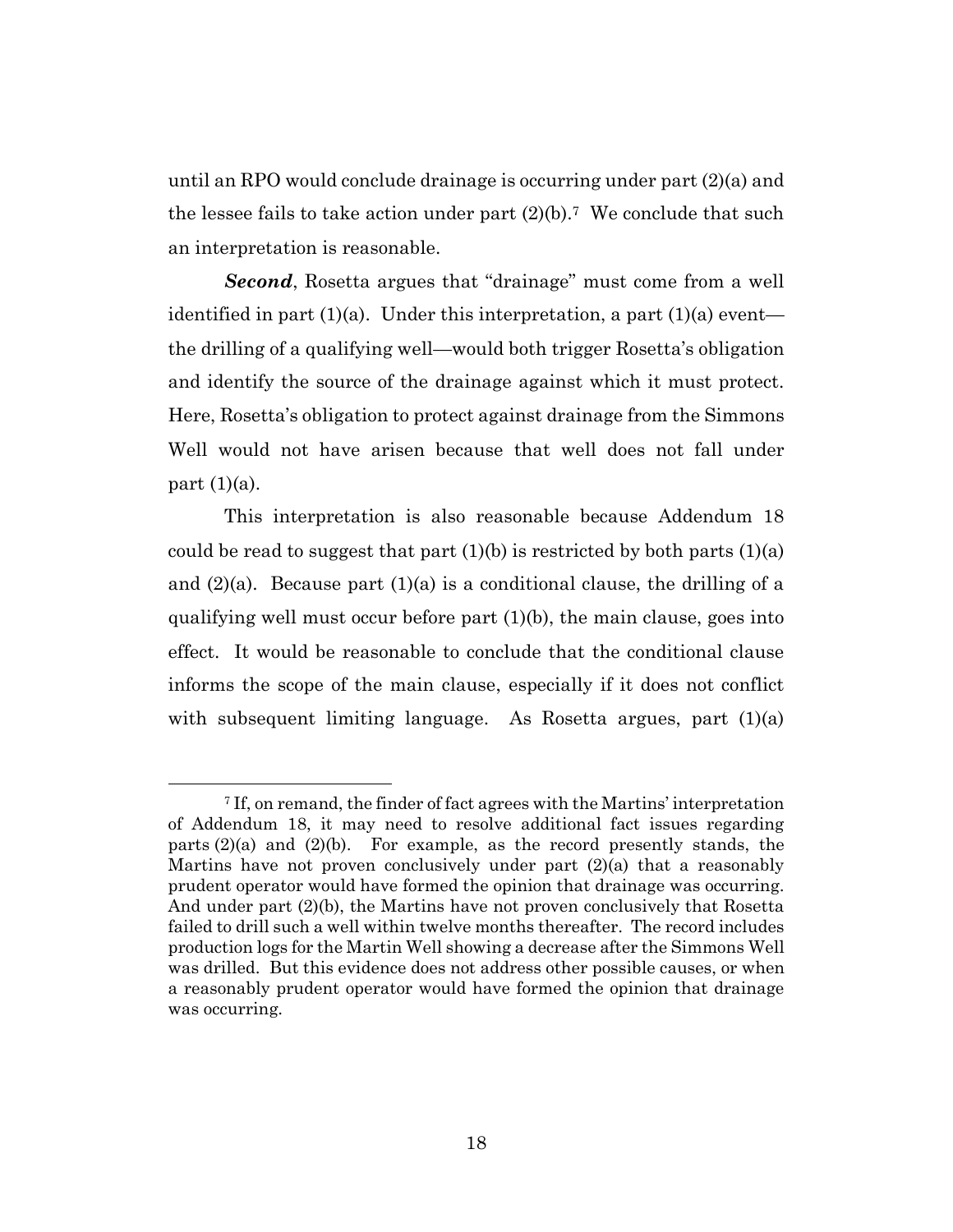until an RPO would conclude drainage is occurring under part (2)(a) and the lessee fails to take action under part  $(2)(b)$ .<sup>7</sup> We conclude that such an interpretation is reasonable.

*Second*, Rosetta argues that "drainage" must come from a well identified in part  $(1)(a)$ . Under this interpretation, a part  $(1)(a)$  event the drilling of a qualifying well—would both trigger Rosetta's obligation and identify the source of the drainage against which it must protect. Here, Rosetta's obligation to protect against drainage from the Simmons Well would not have arisen because that well does not fall under part  $(1)(a)$ .

This interpretation is also reasonable because Addendum 18 could be read to suggest that part  $(1)(b)$  is restricted by both parts  $(1)(a)$ and  $(2)(a)$ . Because part  $(1)(a)$  is a conditional clause, the drilling of a qualifying well must occur before part (1)(b), the main clause, goes into effect. It would be reasonable to conclude that the conditional clause informs the scope of the main clause, especially if it does not conflict with subsequent limiting language. As Rosetta argues, part (1)(a)

<sup>7</sup> If, on remand, the finder of fact agrees with the Martins' interpretation of Addendum 18, it may need to resolve additional fact issues regarding parts  $(2)(a)$  and  $(2)(b)$ . For example, as the record presently stands, the Martins have not proven conclusively under part (2)(a) that a reasonably prudent operator would have formed the opinion that drainage was occurring. And under part (2)(b), the Martins have not proven conclusively that Rosetta failed to drill such a well within twelve months thereafter. The record includes production logs for the Martin Well showing a decrease after the Simmons Well was drilled. But this evidence does not address other possible causes, or when a reasonably prudent operator would have formed the opinion that drainage was occurring.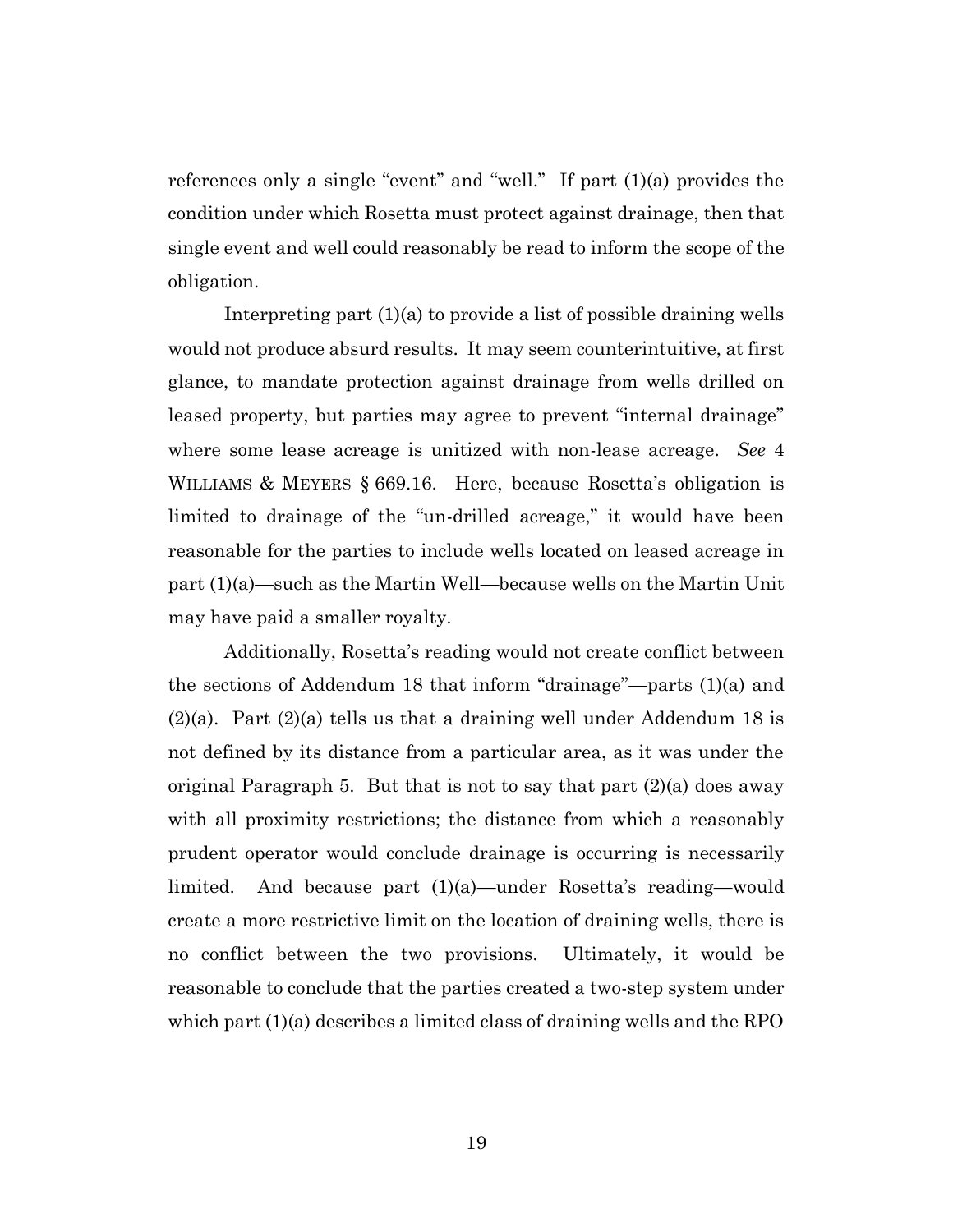references only a single "event" and "well." If part (1)(a) provides the condition under which Rosetta must protect against drainage, then that single event and well could reasonably be read to inform the scope of the obligation.

Interpreting part (1)(a) to provide a list of possible draining wells would not produce absurd results. It may seem counterintuitive, at first glance, to mandate protection against drainage from wells drilled on leased property, but parties may agree to prevent "internal drainage" where some lease acreage is unitized with non-lease acreage. *See* 4 WILLIAMS & MEYERS § 669.16. Here, because Rosetta's obligation is limited to drainage of the "un-drilled acreage," it would have been reasonable for the parties to include wells located on leased acreage in part (1)(a)—such as the Martin Well—because wells on the Martin Unit may have paid a smaller royalty.

Additionally, Rosetta's reading would not create conflict between the sections of Addendum 18 that inform "drainage"—parts (1)(a) and  $(2)(a)$ . Part  $(2)(a)$  tells us that a draining well under Addendum 18 is not defined by its distance from a particular area, as it was under the original Paragraph 5. But that is not to say that part (2)(a) does away with all proximity restrictions; the distance from which a reasonably prudent operator would conclude drainage is occurring is necessarily limited. And because part (1)(a)—under Rosetta's reading—would create a more restrictive limit on the location of draining wells, there is no conflict between the two provisions. Ultimately, it would be reasonable to conclude that the parties created a two-step system under which part (1)(a) describes a limited class of draining wells and the RPO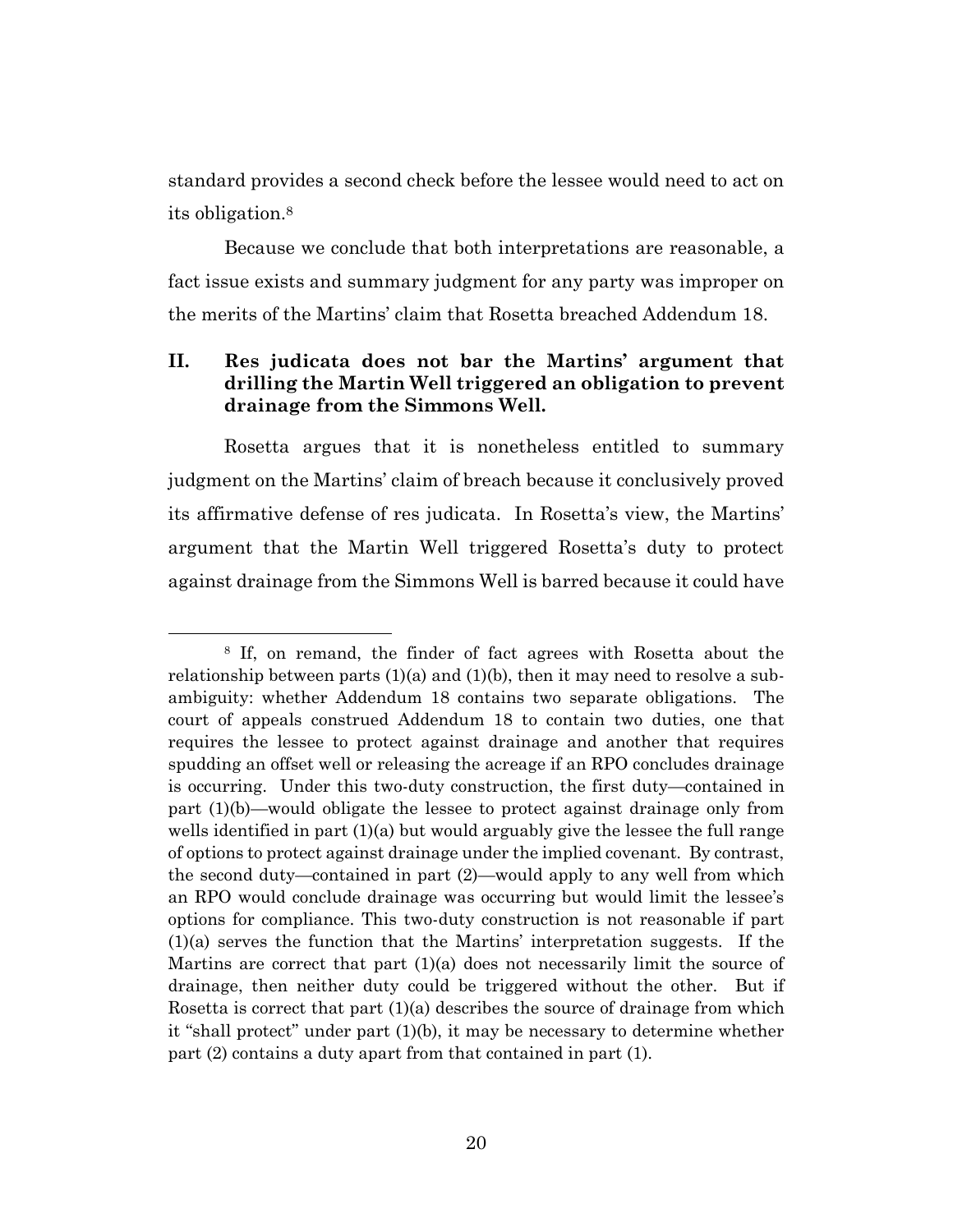standard provides a second check before the lessee would need to act on its obligation.<sup>8</sup>

Because we conclude that both interpretations are reasonable, a fact issue exists and summary judgment for any party was improper on the merits of the Martins' claim that Rosetta breached Addendum 18.

## **II. Res judicata does not bar the Martins' argument that drilling the Martin Well triggered an obligation to prevent drainage from the Simmons Well.**

Rosetta argues that it is nonetheless entitled to summary judgment on the Martins' claim of breach because it conclusively proved its affirmative defense of res judicata. In Rosetta's view, the Martins' argument that the Martin Well triggered Rosetta's duty to protect against drainage from the Simmons Well is barred because it could have

<sup>8</sup> If, on remand, the finder of fact agrees with Rosetta about the relationship between parts  $(1)(a)$  and  $(1)(b)$ , then it may need to resolve a subambiguity: whether Addendum 18 contains two separate obligations. The court of appeals construed Addendum 18 to contain two duties, one that requires the lessee to protect against drainage and another that requires spudding an offset well or releasing the acreage if an RPO concludes drainage is occurring. Under this two-duty construction, the first duty—contained in part (1)(b)—would obligate the lessee to protect against drainage only from wells identified in part  $(1)(a)$  but would arguably give the lessee the full range of options to protect against drainage under the implied covenant. By contrast, the second duty—contained in part (2)—would apply to any well from which an RPO would conclude drainage was occurring but would limit the lessee's options for compliance. This two-duty construction is not reasonable if part (1)(a) serves the function that the Martins' interpretation suggests. If the Martins are correct that part (1)(a) does not necessarily limit the source of drainage, then neither duty could be triggered without the other. But if Rosetta is correct that part (1)(a) describes the source of drainage from which it "shall protect" under part (1)(b), it may be necessary to determine whether part (2) contains a duty apart from that contained in part (1).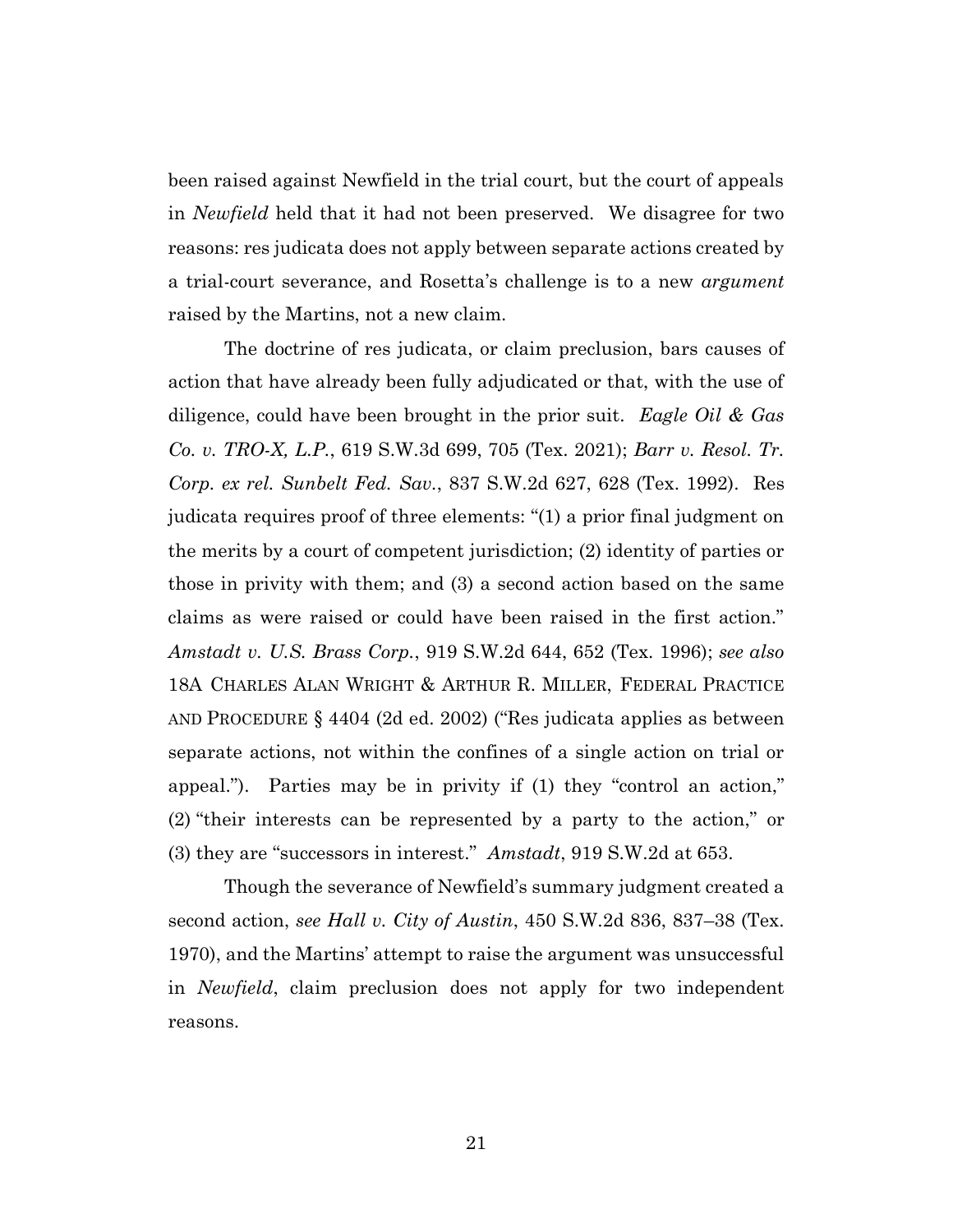been raised against Newfield in the trial court, but the court of appeals in *Newfield* held that it had not been preserved. We disagree for two reasons: res judicata does not apply between separate actions created by a trial-court severance, and Rosetta's challenge is to a new *argument* raised by the Martins, not a new claim.

The doctrine of res judicata, or claim preclusion, bars causes of action that have already been fully adjudicated or that, with the use of diligence, could have been brought in the prior suit. *Eagle Oil & Gas Co. v. TRO-X, L.P.*, 619 S.W.3d 699, 705 (Tex. 2021); *Barr v. Resol. Tr. Corp. ex rel. Sunbelt Fed. Sav.*, 837 S.W.2d 627, 628 (Tex. 1992). Res judicata requires proof of three elements: "(1) a prior final judgment on the merits by a court of competent jurisdiction; (2) identity of parties or those in privity with them; and (3) a second action based on the same claims as were raised or could have been raised in the first action." *Amstadt v. U.S. Brass Corp.*, 919 S.W.2d 644, 652 (Tex. 1996); *see also* 18A CHARLES ALAN WRIGHT & ARTHUR R. MILLER, FEDERAL PRACTICE AND PROCEDURE § 4404 (2d ed. 2002) ("Res judicata applies as between separate actions, not within the confines of a single action on trial or appeal."). Parties may be in privity if (1) they "control an action," (2) "their interests can be represented by a party to the action," or (3) they are "successors in interest." *Amstadt*, 919 S.W.2d at 653.

Though the severance of Newfield's summary judgment created a second action, *see Hall v. City of Austin*, 450 S.W.2d 836, 837–38 (Tex. 1970), and the Martins' attempt to raise the argument was unsuccessful in *Newfield*, claim preclusion does not apply for two independent reasons.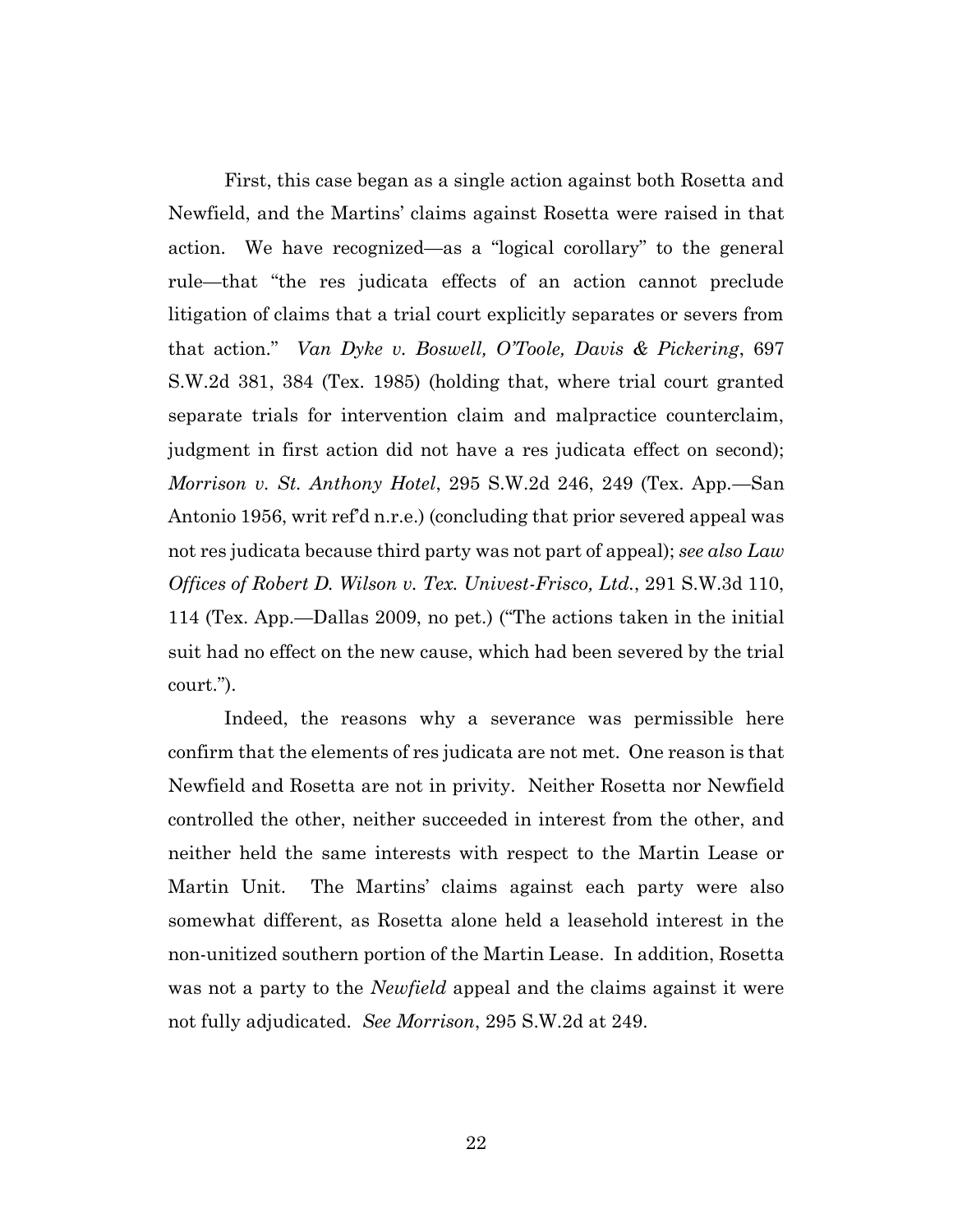First, this case began as a single action against both Rosetta and Newfield, and the Martins' claims against Rosetta were raised in that action. We have recognized—as a "logical corollary" to the general rule—that "the res judicata effects of an action cannot preclude litigation of claims that a trial court explicitly separates or severs from that action." *Van Dyke v. Boswell, O'Toole, Davis & Pickering*, 697 S.W.2d 381, 384 (Tex. 1985) (holding that, where trial court granted separate trials for intervention claim and malpractice counterclaim, judgment in first action did not have a res judicata effect on second); *Morrison v. St. Anthony Hotel*, 295 S.W.2d 246, 249 (Tex. App.—San Antonio 1956, writ ref'd n.r.e.) (concluding that prior severed appeal was not res judicata because third party was not part of appeal); *see also Law Offices of Robert D. Wilson v. Tex. Univest-Frisco, Ltd.*, 291 S.W.3d 110, 114 (Tex. App.—Dallas 2009, no pet.) ("The actions taken in the initial suit had no effect on the new cause, which had been severed by the trial court.").

Indeed, the reasons why a severance was permissible here confirm that the elements of res judicata are not met. One reason is that Newfield and Rosetta are not in privity. Neither Rosetta nor Newfield controlled the other, neither succeeded in interest from the other, and neither held the same interests with respect to the Martin Lease or Martin Unit. The Martins' claims against each party were also somewhat different, as Rosetta alone held a leasehold interest in the non-unitized southern portion of the Martin Lease. In addition, Rosetta was not a party to the *Newfield* appeal and the claims against it were not fully adjudicated. *See Morrison*, 295 S.W.2d at 249.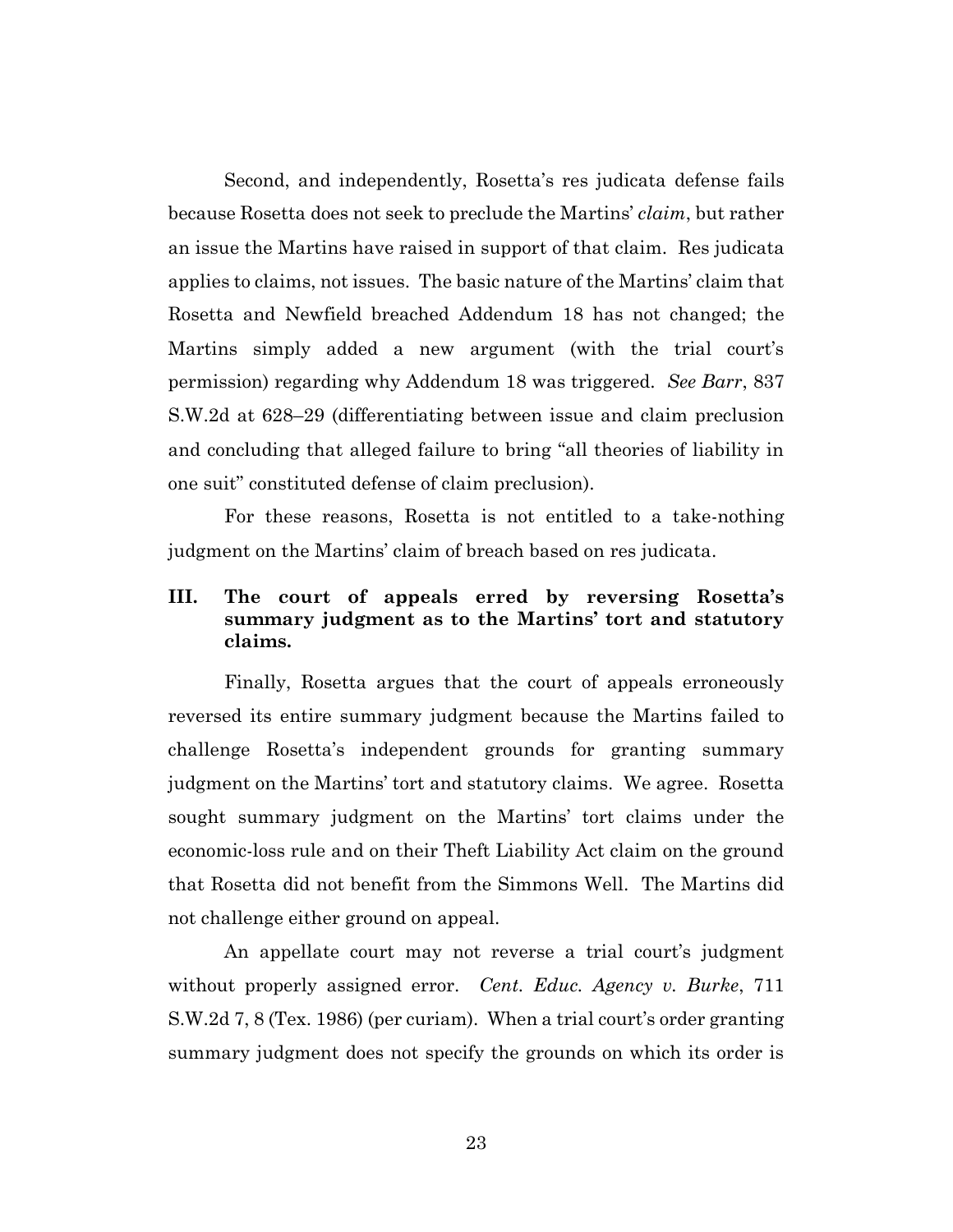Second, and independently, Rosetta's res judicata defense fails because Rosetta does not seek to preclude the Martins' *claim*, but rather an issue the Martins have raised in support of that claim. Res judicata applies to claims, not issues. The basic nature of the Martins' claim that Rosetta and Newfield breached Addendum 18 has not changed; the Martins simply added a new argument (with the trial court's permission) regarding why Addendum 18 was triggered. *See Barr*, 837 S.W.2d at 628–29 (differentiating between issue and claim preclusion and concluding that alleged failure to bring "all theories of liability in one suit" constituted defense of claim preclusion).

For these reasons, Rosetta is not entitled to a take-nothing judgment on the Martins' claim of breach based on res judicata.

# **III. The court of appeals erred by reversing Rosetta's summary judgment as to the Martins' tort and statutory claims.**

Finally, Rosetta argues that the court of appeals erroneously reversed its entire summary judgment because the Martins failed to challenge Rosetta's independent grounds for granting summary judgment on the Martins' tort and statutory claims. We agree. Rosetta sought summary judgment on the Martins' tort claims under the economic-loss rule and on their Theft Liability Act claim on the ground that Rosetta did not benefit from the Simmons Well. The Martins did not challenge either ground on appeal.

An appellate court may not reverse a trial court's judgment without properly assigned error. *Cent. Educ. Agency v. Burke*, 711 S.W.2d 7, 8 (Tex. 1986) (per curiam). When a trial court's order granting summary judgment does not specify the grounds on which its order is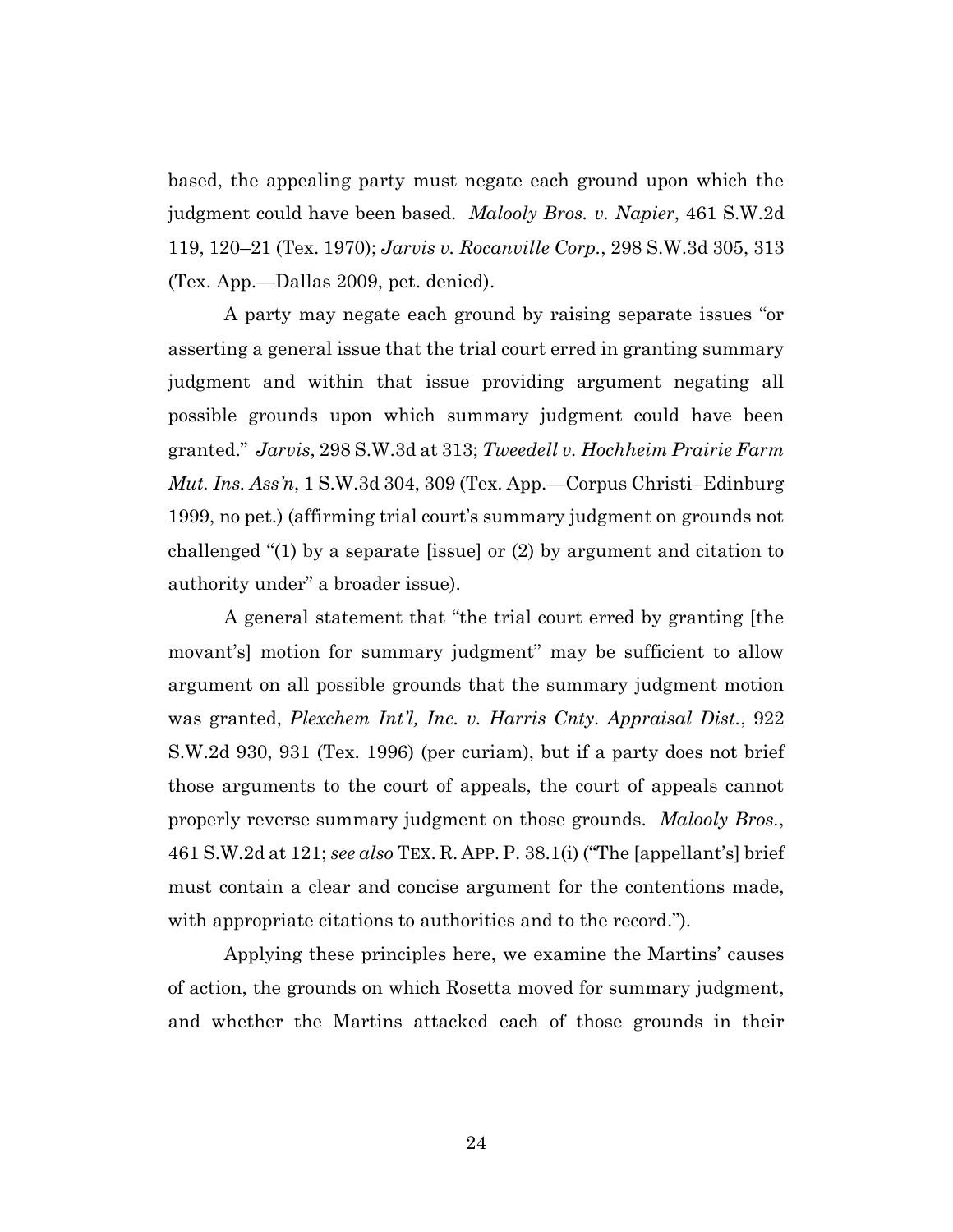based, the appealing party must negate each ground upon which the judgment could have been based. *Malooly Bros. v. Napier*, 461 S.W.2d 119, 120–21 (Tex. 1970); *Jarvis v. Rocanville Corp.*, 298 S.W.3d 305, 313 (Tex. App.—Dallas 2009, pet. denied).

A party may negate each ground by raising separate issues "or asserting a general issue that the trial court erred in granting summary judgment and within that issue providing argument negating all possible grounds upon which summary judgment could have been granted." *Jarvis*, 298 S.W.3d at 313; *Tweedell v. Hochheim Prairie Farm Mut. Ins. Ass'n*, 1 S.W.3d 304, 309 (Tex. App.—Corpus Christi–Edinburg 1999, no pet.) (affirming trial court's summary judgment on grounds not challenged "(1) by a separate [issue] or (2) by argument and citation to authority under" a broader issue).

A general statement that "the trial court erred by granting [the movant's] motion for summary judgment" may be sufficient to allow argument on all possible grounds that the summary judgment motion was granted, *Plexchem Int'l, Inc. v. Harris Cnty. Appraisal Dist.*, 922 S.W.2d 930, 931 (Tex. 1996) (per curiam), but if a party does not brief those arguments to the court of appeals, the court of appeals cannot properly reverse summary judgment on those grounds. *Malooly Bros.*, 461 S.W.2d at 121; *see also* TEX. R. APP.P. 38.1(i) ("The [appellant's] brief must contain a clear and concise argument for the contentions made, with appropriate citations to authorities and to the record.").

Applying these principles here, we examine the Martins' causes of action, the grounds on which Rosetta moved for summary judgment, and whether the Martins attacked each of those grounds in their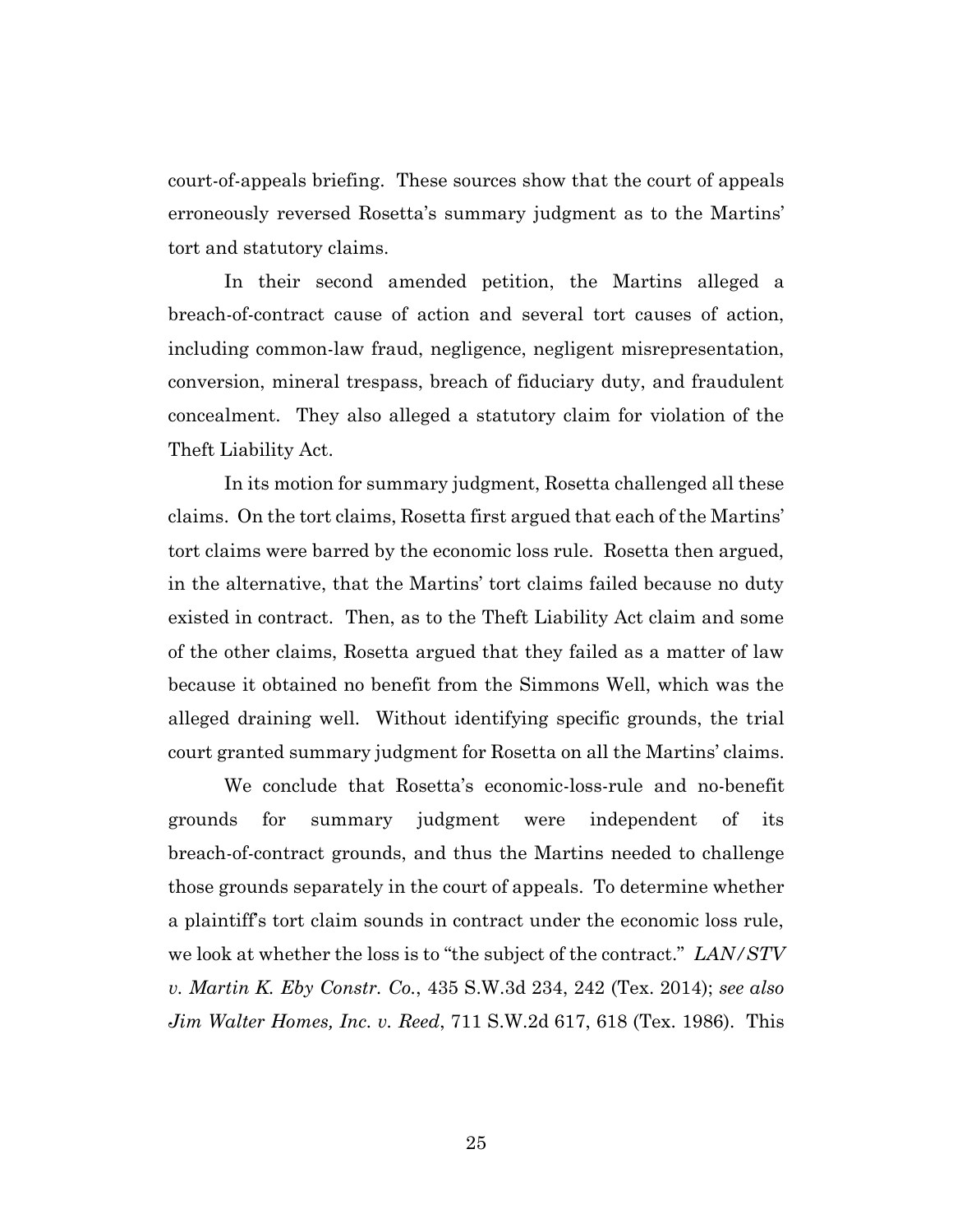court-of-appeals briefing. These sources show that the court of appeals erroneously reversed Rosetta's summary judgment as to the Martins' tort and statutory claims.

In their second amended petition, the Martins alleged a breach-of-contract cause of action and several tort causes of action, including common-law fraud, negligence, negligent misrepresentation, conversion, mineral trespass, breach of fiduciary duty, and fraudulent concealment. They also alleged a statutory claim for violation of the Theft Liability Act.

In its motion for summary judgment, Rosetta challenged all these claims. On the tort claims, Rosetta first argued that each of the Martins' tort claims were barred by the economic loss rule. Rosetta then argued, in the alternative, that the Martins' tort claims failed because no duty existed in contract. Then, as to the Theft Liability Act claim and some of the other claims, Rosetta argued that they failed as a matter of law because it obtained no benefit from the Simmons Well, which was the alleged draining well. Without identifying specific grounds, the trial court granted summary judgment for Rosetta on all the Martins' claims.

We conclude that Rosetta's economic-loss-rule and no-benefit grounds for summary judgment were independent of its breach-of-contract grounds, and thus the Martins needed to challenge those grounds separately in the court of appeals. To determine whether a plaintiff's tort claim sounds in contract under the economic loss rule, we look at whether the loss is to "the subject of the contract." *LAN/STV v. Martin K. Eby Constr. Co.*, 435 S.W.3d 234, 242 (Tex. 2014); *see also Jim Walter Homes, Inc. v. Reed*, 711 S.W.2d 617, 618 (Tex. 1986). This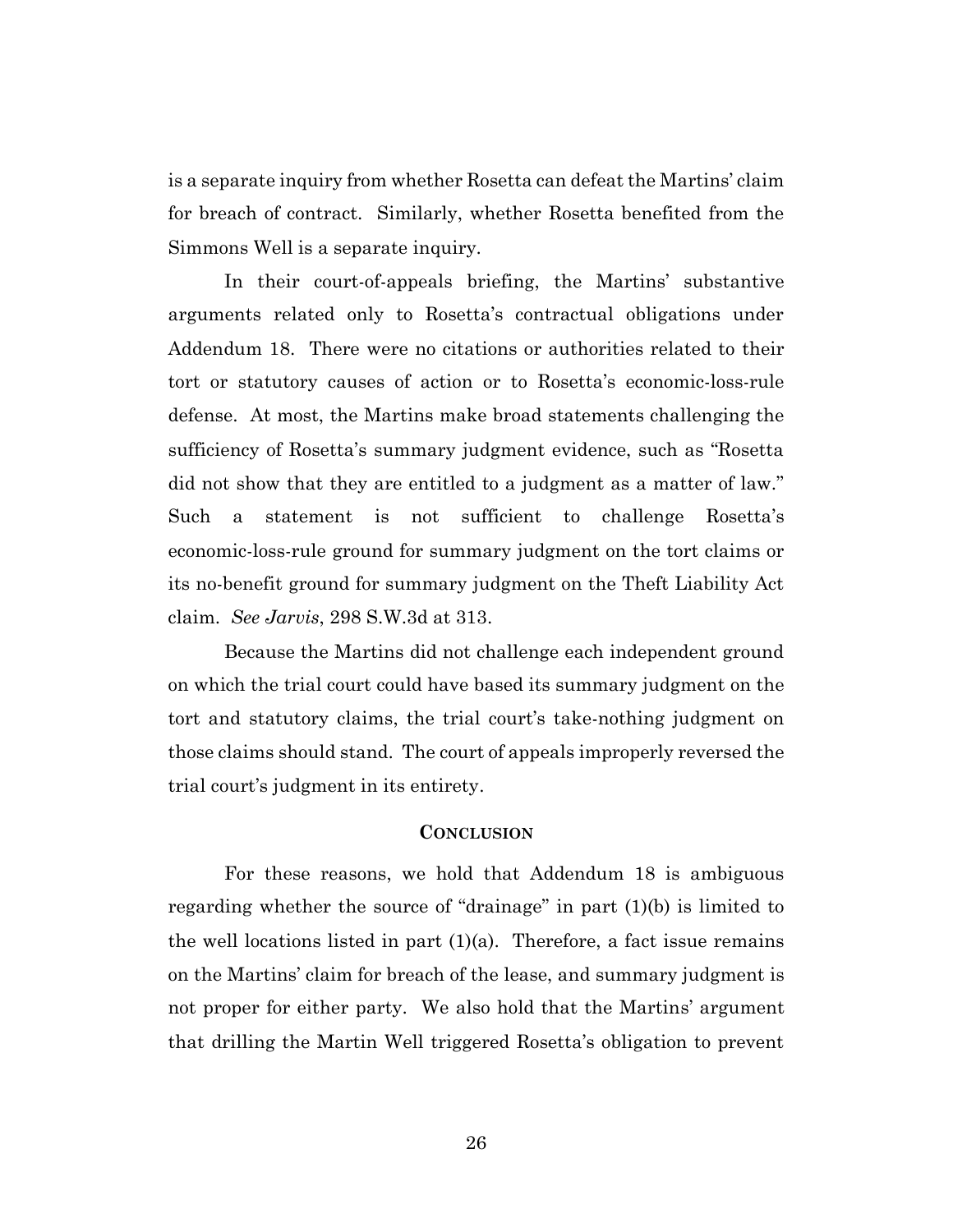is a separate inquiry from whether Rosetta can defeat the Martins' claim for breach of contract. Similarly, whether Rosetta benefited from the Simmons Well is a separate inquiry.

In their court-of-appeals briefing, the Martins' substantive arguments related only to Rosetta's contractual obligations under Addendum 18. There were no citations or authorities related to their tort or statutory causes of action or to Rosetta's economic-loss-rule defense. At most, the Martins make broad statements challenging the sufficiency of Rosetta's summary judgment evidence, such as "Rosetta did not show that they are entitled to a judgment as a matter of law." Such a statement is not sufficient to challenge Rosetta's economic-loss-rule ground for summary judgment on the tort claims or its no-benefit ground for summary judgment on the Theft Liability Act claim. *See Jarvis*, 298 S.W.3d at 313.

Because the Martins did not challenge each independent ground on which the trial court could have based its summary judgment on the tort and statutory claims, the trial court's take-nothing judgment on those claims should stand. The court of appeals improperly reversed the trial court's judgment in its entirety.

## **CONCLUSION**

For these reasons, we hold that Addendum 18 is ambiguous regarding whether the source of "drainage" in part (1)(b) is limited to the well locations listed in part  $(1)(a)$ . Therefore, a fact issue remains on the Martins' claim for breach of the lease, and summary judgment is not proper for either party. We also hold that the Martins' argument that drilling the Martin Well triggered Rosetta's obligation to prevent